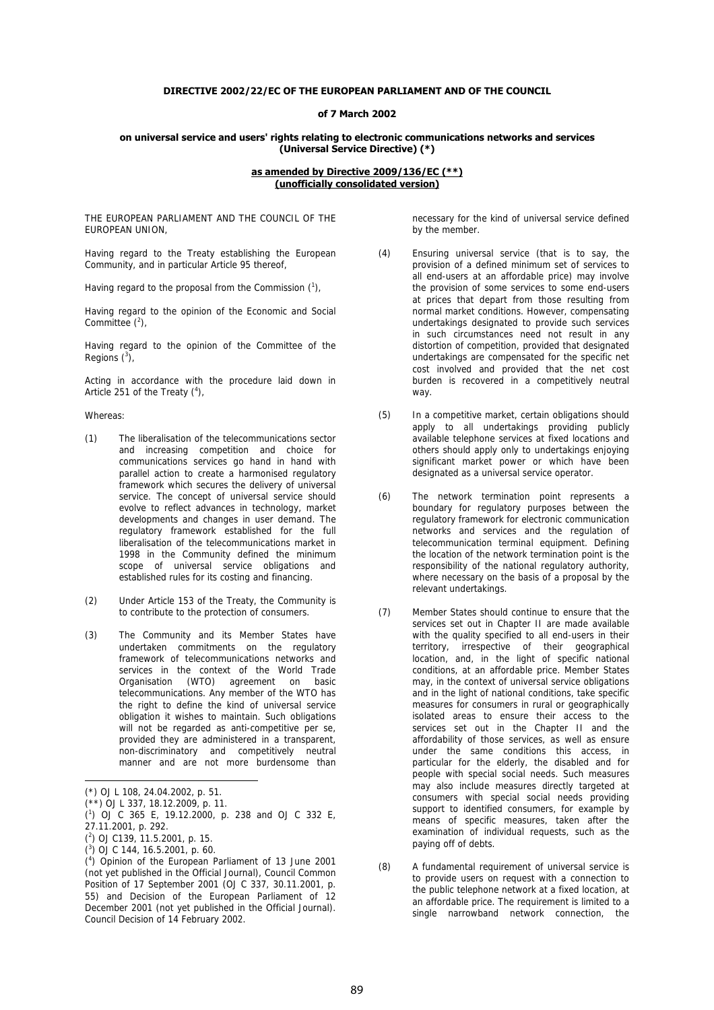# **DIRECTIVE 2002/22/EC OF THE EUROPEAN PARLIAMENT AND OF THE COUNCIL**

# **of 7 March 2002**

# **on universal service and users' rights relating to electronic communications networks and services (Universal Service Directive) (\*)**

# **as amended by Directive 2009/136/EC (\*\*) (unofficially consolidated version)**

THE EUROPEAN PARLIAMENT AND THE COUNCIL OF THE EUROPEAN UNION,

Having regard to the Treaty establishing the European Community, and in particular Article 95 thereof,

Having regard to the proposal from the Commission (1),

Having regard to the opinion of the Economic and Social Committee (<sup>2</sup>),

Having regard to the opinion of the Committee of the Regions  $(^3)$ ,

Acting in accordance with the procedure laid down in Article 251 of the Treaty  $(1)$ ,

Whereas:

- (1) The liberalisation of the telecommunications sector and increasing competition and choice for communications services go hand in hand with parallel action to create a harmonised regulatory framework which secures the delivery of universal service. The concept of universal service should evolve to reflect advances in technology, market developments and changes in user demand. The regulatory framework established for the full liberalisation of the telecommunications market in 1998 in the Community defined the minimum scope of universal service obligations and established rules for its costing and financing.
- (2) Under Article 153 of the Treaty, the Community is to contribute to the protection of consumers.
- (3) The Community and its Member States have undertaken commitments on the regulatory framework of telecommunications networks and services in the context of the World Trade Organisation (WTO) agreement on basic telecommunications. Any member of the WTO has the right to define the kind of universal service obligation it wishes to maintain. Such obligations will not be regarded as anti-competitive per se. provided they are administered in a transparent, non-discriminatory and competitively neutral manner and are not more burdensome than

l

necessary for the kind of universal service defined by the member.

- (4) Ensuring universal service (that is to say, the provision of a defined minimum set of services to all end-users at an affordable price) may involve the provision of some services to some end-users at prices that depart from those resulting from normal market conditions. However, compensating undertakings designated to provide such services in such circumstances need not result in any distortion of competition, provided that designated undertakings are compensated for the specific net cost involved and provided that the net cost burden is recovered in a competitively neutral way.
- (5) In a competitive market, certain obligations should apply to all undertakings providing publicly available telephone services at fixed locations and others should apply only to undertakings enjoying significant market power or which have been designated as a universal service operator.
- (6) The network termination point represents a boundary for regulatory purposes between the regulatory framework for electronic communication networks and services and the regulation of telecommunication terminal equipment. Defining the location of the network termination point is the responsibility of the national regulatory authority, where necessary on the basis of a proposal by the relevant undertakings.
- (7) Member States should continue to ensure that the services set out in Chapter II are made available with the quality specified to all end-users in their territory, irrespective of their geographical location, and, in the light of specific national conditions, at an affordable price. Member States may, in the context of universal service obligations and in the light of national conditions, take specific measures for consumers in rural or geographically isolated areas to ensure their access to the services set out in the Chapter II and the affordability of those services, as well as ensure under the same conditions this access, in particular for the elderly, the disabled and for people with special social needs. Such measures may also include measures directly targeted at consumers with special social needs providing support to identified consumers, for example by means of specific measures, taken after the examination of individual requests, such as the paying off of debts.
- (8) A fundamental requirement of universal service is to provide users on request with a connection to the public telephone network at a fixed location, at an affordable price. The requirement is limited to a single narrowband network connection, the

<sup>(\*)</sup> OJ L 108, 24.04.2002, p. 51.

<sup>(\*\*)</sup> OJ L 337, 18.12.2009, p. 11.

<sup>(</sup> 1 ) OJ C 365 E, 19.12.2000, p. 238 and OJ C 332 E,

<sup>27.11.2001,</sup> p. 292.

<sup>(</sup> 2 ) OJ C139, 11.5.2001, p. 15.

<sup>(</sup> 3 ) OJ C 144, 16.5.2001, p. 60.

<sup>(</sup> 4 ) Opinion of the European Parliament of 13 June 2001 (not yet published in the Official Journal), Council Common Position of 17 September 2001 (OJ C 337, 30.11.2001, p. 55) and Decision of the European Parliament of 12 December 2001 (not yet published in the Official Journal). Council Decision of 14 February 2002.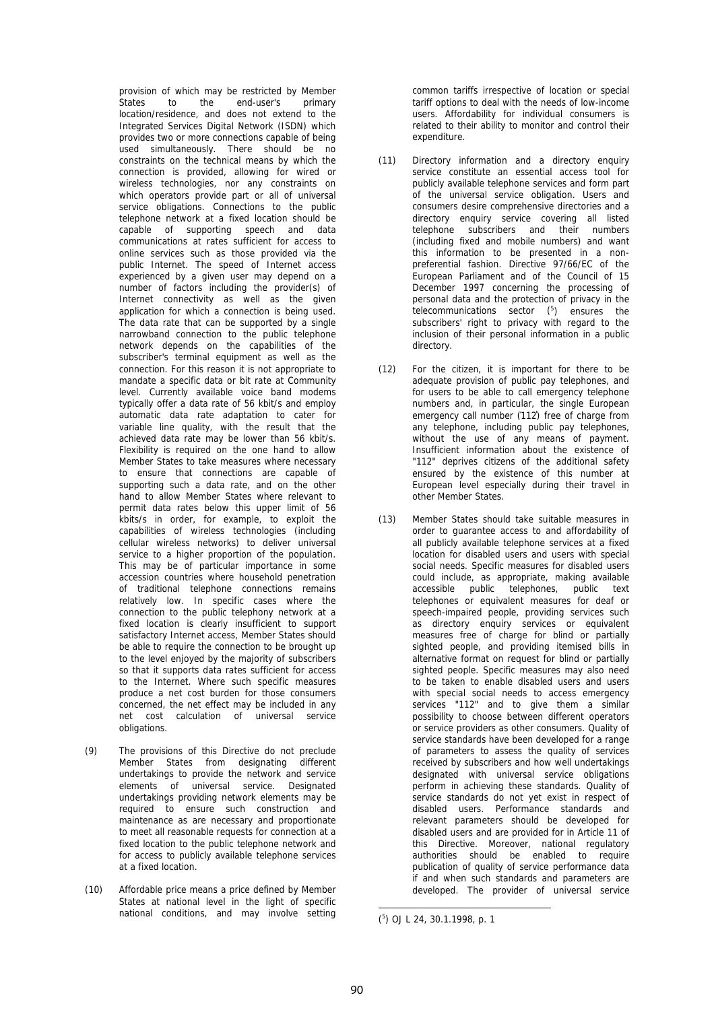provision of which may be restricted by Member<br>States bothe end-user's primary to the end-user's location/residence, and does not extend to the Integrated Services Digital Network (ISDN) which provides two or more connections capable of being used simultaneously. There should be no constraints on the technical means by which the connection is provided, allowing for wired or wireless technologies, nor any constraints on which operators provide part or all of universal service obligations. Connections to the public telephone network at a fixed location should be capable of supporting speech and data communications at rates sufficient for access to online services such as those provided via the public Internet. The speed of Internet access experienced by a given user may depend on a number of factors including the provider(s) of Internet connectivity as well as the given application for which a connection is being used. The data rate that can be supported by a single narrowband connection to the public telephone network depends on the capabilities of the subscriber's terminal equipment as well as the connection. For this reason it is not appropriate to mandate a specific data or bit rate at Community level. Currently available voice band modems typically offer a data rate of 56 kbit/s and employ automatic data rate adaptation to cater for variable line quality, with the result that the achieved data rate may be lower than 56 kbit/s. Flexibility is required on the one hand to allow Member States to take measures where necessary to ensure that connections are capable of supporting such a data rate, and on the other hand to allow Member States where relevant to permit data rates below this upper limit of 56 kbits/s in order, for example, to exploit the capabilities of wireless technologies (including cellular wireless networks) to deliver universal service to a higher proportion of the population. This may be of particular importance in some accession countries where household penetration of traditional telephone connections remains relatively low. In specific cases where the connection to the public telephony network at a fixed location is clearly insufficient to support satisfactory Internet access, Member States should be able to require the connection to be brought up to the level enjoyed by the majority of subscribers so that it supports data rates sufficient for access to the Internet. Where such specific measures produce a net cost burden for those consumers concerned, the net effect may be included in any net cost calculation of universal service obligations.

- (9) The provisions of this Directive do not preclude Member States from designating different undertakings to provide the network and service elements of universal service. Designated undertakings providing network elements may be required to ensure such construction and maintenance as are necessary and proportionate to meet all reasonable requests for connection at a fixed location to the public telephone network and for access to publicly available telephone services at a fixed location.
- (10) Affordable price means a price defined by Member States at national level in the light of specific national conditions, and may involve setting

common tariffs irrespective of location or special tariff options to deal with the needs of low-income users. Affordability for individual consumers is related to their ability to monitor and control their expenditure.

- (11) Directory information and a directory enquiry service constitute an essential access tool for publicly available telephone services and form part of the universal service obligation. Users and consumers desire comprehensive directories and a directory enquiry service covering all listed telephone subscribers and their numbers (including fixed and mobile numbers) and want this information to be presented in a nonpreferential fashion. Directive 97/66/EC of the European Parliament and of the Council of 15 December 1997 concerning the processing of personal data and the protection of privacy in the telecommunications sector (5 ) ensures the subscribers' right to privacy with regard to the inclusion of their personal information in a public directory.
- (12) For the citizen, it is important for there to be adequate provision of public pay telephones, and for users to be able to call emergency telephone numbers and, in particular, the single European emergency call number (112) free of charge from any telephone, including public pay telephones, without the use of any means of payment. Insufficient information about the existence of "112" deprives citizens of the additional safety ensured by the existence of this number at European level especially during their travel in other Member States.
- (13) Member States should take suitable measures in order to guarantee access to and affordability of all publicly available telephone services at a fixed location for disabled users and users with special social needs. Specific measures for disabled users could include, as appropriate, making available accessible public telephones, public text telephones or equivalent measures for deaf or speech-impaired people, providing services such as directory enquiry services or equivalent measures free of charge for blind or partially sighted people, and providing itemised bills in alternative format on request for blind or partially sighted people. Specific measures may also need to be taken to enable disabled users and users with special social needs to access emergency services "112" and to give them a similar possibility to choose between different operators or service providers as other consumers. Quality of service standards have been developed for a range of parameters to assess the quality of services received by subscribers and how well undertakings designated with universal service obligations perform in achieving these standards. Quality of service standards do not yet exist in respect of disabled users. Performance standards and relevant parameters should be developed for disabled users and are provided for in Article 11 of this Directive. Moreover, national regulatory authorities should be enabled to require publication of quality of service performance data if and when such standards and parameters are developed. The provider of universal service

<sup>1</sup> ( 5 ) OJ L 24, 30.1.1998, p. 1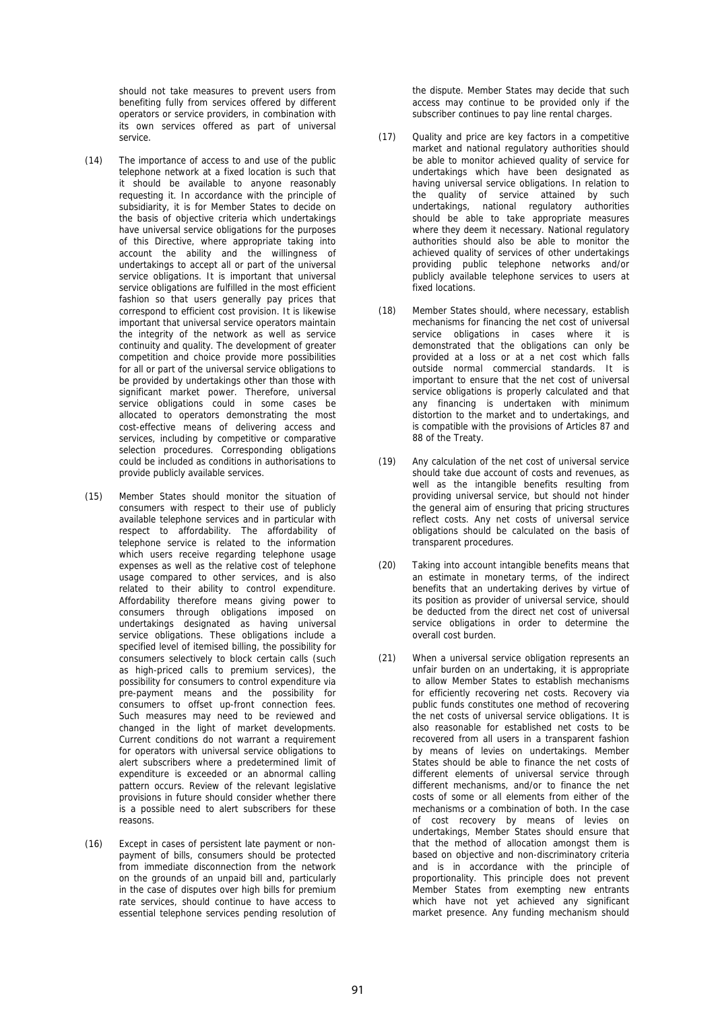should not take measures to prevent users from benefiting fully from services offered by different operators or service providers, in combination with its own services offered as part of universal service.

- (14) The importance of access to and use of the public telephone network at a fixed location is such that it should be available to anyone reasonably requesting it. In accordance with the principle of subsidiarity, it is for Member States to decide on the basis of objective criteria which undertakings have universal service obligations for the purposes of this Directive, where appropriate taking into account the ability and the willingness of undertakings to accept all or part of the universal service obligations. It is important that universal service obligations are fulfilled in the most efficient fashion so that users generally pay prices that correspond to efficient cost provision. It is likewise important that universal service operators maintain the integrity of the network as well as service continuity and quality. The development of greater competition and choice provide more possibilities for all or part of the universal service obligations to be provided by undertakings other than those with significant market power. Therefore, universal service obligations could in some cases be allocated to operators demonstrating the most cost-effective means of delivering access and services, including by competitive or comparative selection procedures. Corresponding obligations could be included as conditions in authorisations to provide publicly available services.
- (15) Member States should monitor the situation of consumers with respect to their use of publicly available telephone services and in particular with respect to affordability. The affordability of telephone service is related to the information which users receive regarding telephone usage expenses as well as the relative cost of telephone usage compared to other services, and is also related to their ability to control expenditure. Affordability therefore means giving power to consumers through obligations imposed on undertakings designated as having universal service obligations. These obligations include a specified level of itemised billing, the possibility for consumers selectively to block certain calls (such as high-priced calls to premium services), the possibility for consumers to control expenditure via pre-payment means and the possibility for consumers to offset up-front connection fees. Such measures may need to be reviewed and changed in the light of market developments. Current conditions do not warrant a requirement for operators with universal service obligations to alert subscribers where a predetermined limit of expenditure is exceeded or an abnormal calling pattern occurs. Review of the relevant legislative provisions in future should consider whether there is a possible need to alert subscribers for these reasons.
- (16) Except in cases of persistent late payment or nonpayment of bills, consumers should be protected from immediate disconnection from the network on the grounds of an unpaid bill and, particularly in the case of disputes over high bills for premium rate services, should continue to have access to essential telephone services pending resolution of

the dispute. Member States may decide that such access may continue to be provided only if the subscriber continues to pay line rental charges.

- (17) Quality and price are key factors in a competitive market and national regulatory authorities should be able to monitor achieved quality of service for undertakings which have been designated as having universal service obligations. In relation to the quality of service attained by such undertakings, national regulatory authorities should be able to take appropriate measures where they deem it necessary. National regulatory authorities should also be able to monitor the achieved quality of services of other undertakings providing public telephone networks and/or publicly available telephone services to users at fixed locations.
- (18) Member States should, where necessary, establish mechanisms for financing the net cost of universal service obligations in cases where it is demonstrated that the obligations can only be provided at a loss or at a net cost which falls outside normal commercial standards. It is important to ensure that the net cost of universal service obligations is properly calculated and that any financing is undertaken with minimum distortion to the market and to undertakings, and is compatible with the provisions of Articles 87 and 88 of the Treaty.
- (19) Any calculation of the net cost of universal service should take due account of costs and revenues, as well as the intangible benefits resulting from providing universal service, but should not hinder the general aim of ensuring that pricing structures reflect costs. Any net costs of universal service obligations should be calculated on the basis of transparent procedures.
- (20) Taking into account intangible benefits means that an estimate in monetary terms, of the indirect benefits that an undertaking derives by virtue of its position as provider of universal service, should be deducted from the direct net cost of universal service obligations in order to determine the overall cost burden.
- (21) When a universal service obligation represents an unfair burden on an undertaking, it is appropriate to allow Member States to establish mechanisms for efficiently recovering net costs. Recovery via public funds constitutes one method of recovering the net costs of universal service obligations. It is also reasonable for established net costs to be recovered from all users in a transparent fashion by means of levies on undertakings. Member States should be able to finance the net costs of different elements of universal service through different mechanisms, and/or to finance the net costs of some or all elements from either of the mechanisms or a combination of both. In the case of cost recovery by means of levies on undertakings, Member States should ensure that that the method of allocation amongst them is based on objective and non-discriminatory criteria and is in accordance with the principle of proportionality. This principle does not prevent Member States from exempting new entrants which have not yet achieved any significant market presence. Any funding mechanism should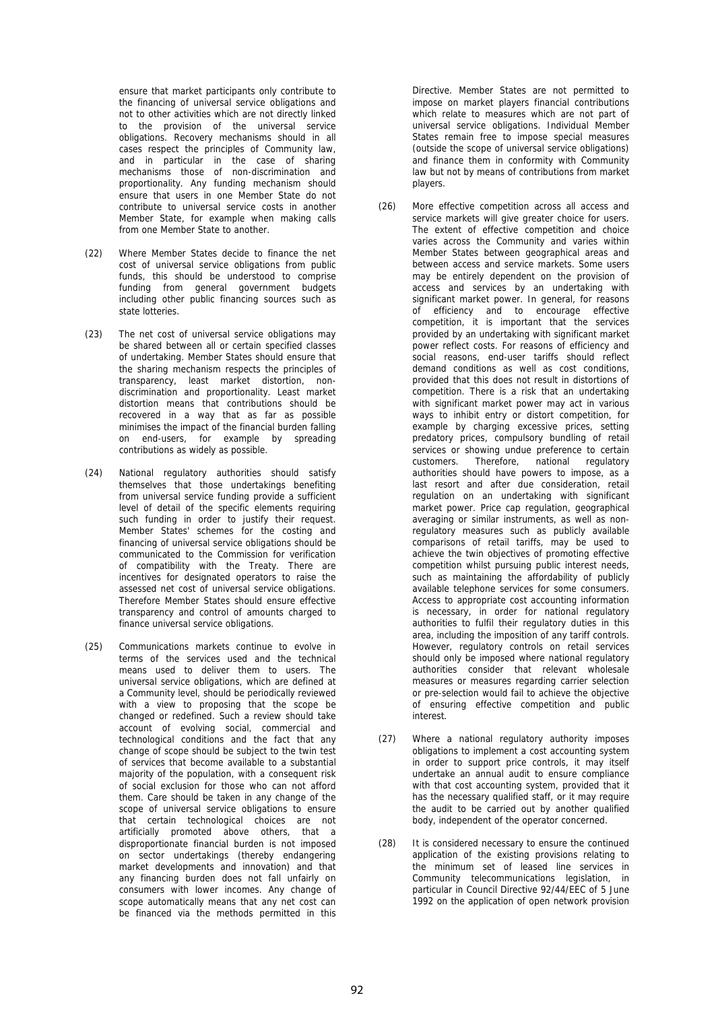ensure that market participants only contribute to the financing of universal service obligations and not to other activities which are not directly linked to the provision of the universal service obligations. Recovery mechanisms should in all cases respect the principles of Community law, and in particular in the case of sharing mechanisms those of non-discrimination and proportionality. Any funding mechanism should ensure that users in one Member State do not contribute to universal service costs in another Member State, for example when making calls from one Member State to another.

- (22) Where Member States decide to finance the net cost of universal service obligations from public funds, this should be understood to comprise funding from general government budgets including other public financing sources such as state lotteries.
- (23) The net cost of universal service obligations may be shared between all or certain specified classes of undertaking. Member States should ensure that the sharing mechanism respects the principles of transparency, least market distortion, nondiscrimination and proportionality. Least market distortion means that contributions should be recovered in a way that as far as possible minimises the impact of the financial burden falling on end-users, for example by spreading contributions as widely as possible.
- (24) National regulatory authorities should satisfy themselves that those undertakings benefiting from universal service funding provide a sufficient level of detail of the specific elements requiring such funding in order to justify their request. Member States' schemes for the costing and financing of universal service obligations should be communicated to the Commission for verification of compatibility with the Treaty. There are incentives for designated operators to raise the assessed net cost of universal service obligations. Therefore Member States should ensure effective transparency and control of amounts charged to finance universal service obligations.
- (25) Communications markets continue to evolve in terms of the services used and the technical means used to deliver them to users. The universal service obligations, which are defined at a Community level, should be periodically reviewed with a view to proposing that the scope be changed or redefined. Such a review should take account of evolving social, commercial and technological conditions and the fact that any change of scope should be subject to the twin test of services that become available to a substantial majority of the population, with a consequent risk of social exclusion for those who can not afford them. Care should be taken in any change of the scope of universal service obligations to ensure that certain technological choices are not artificially promoted above others, that a disproportionate financial burden is not imposed on sector undertakings (thereby endangering market developments and innovation) and that any financing burden does not fall unfairly on consumers with lower incomes. Any change of scope automatically means that any net cost can be financed via the methods permitted in this

Directive. Member States are not permitted to impose on market players financial contributions which relate to measures which are not part of universal service obligations. Individual Member States remain free to impose special measures (outside the scope of universal service obligations) and finance them in conformity with Community law but not by means of contributions from market players.

- (26) More effective competition across all access and service markets will give greater choice for users. The extent of effective competition and choice varies across the Community and varies within Member States between geographical areas and between access and service markets. Some users may be entirely dependent on the provision of access and services by an undertaking with significant market power. In general, for reasons of efficiency and to encourage effective competition, it is important that the services provided by an undertaking with significant market power reflect costs. For reasons of efficiency and social reasons, end-user tariffs should reflect demand conditions as well as cost conditions, provided that this does not result in distortions of competition. There is a risk that an undertaking with significant market power may act in various ways to inhibit entry or distort competition, for example by charging excessive prices, setting predatory prices, compulsory bundling of retail services or showing undue preference to certain<br>customers. Therefore, national requlatory Therefore, national regulatory authorities should have powers to impose, as a last resort and after due consideration, retail regulation on an undertaking with significant market power. Price cap regulation, geographical averaging or similar instruments, as well as nonregulatory measures such as publicly available comparisons of retail tariffs, may be used to achieve the twin objectives of promoting effective competition whilst pursuing public interest needs, such as maintaining the affordability of publicly available telephone services for some consumers. Access to appropriate cost accounting information is necessary, in order for national regulatory authorities to fulfil their regulatory duties in this area, including the imposition of any tariff controls. However, regulatory controls on retail services should only be imposed where national regulatory authorities consider that relevant wholesale measures or measures regarding carrier selection or pre-selection would fail to achieve the objective of ensuring effective competition and public interest.
- (27) Where a national regulatory authority imposes obligations to implement a cost accounting system in order to support price controls, it may itself undertake an annual audit to ensure compliance with that cost accounting system, provided that it has the necessary qualified staff, or it may require the audit to be carried out by another qualified body, independent of the operator concerned.
- (28) It is considered necessary to ensure the continued application of the existing provisions relating to the minimum set of leased line services in Community telecommunications legislation, in particular in Council Directive 92/44/EEC of 5 June 1992 on the application of open network provision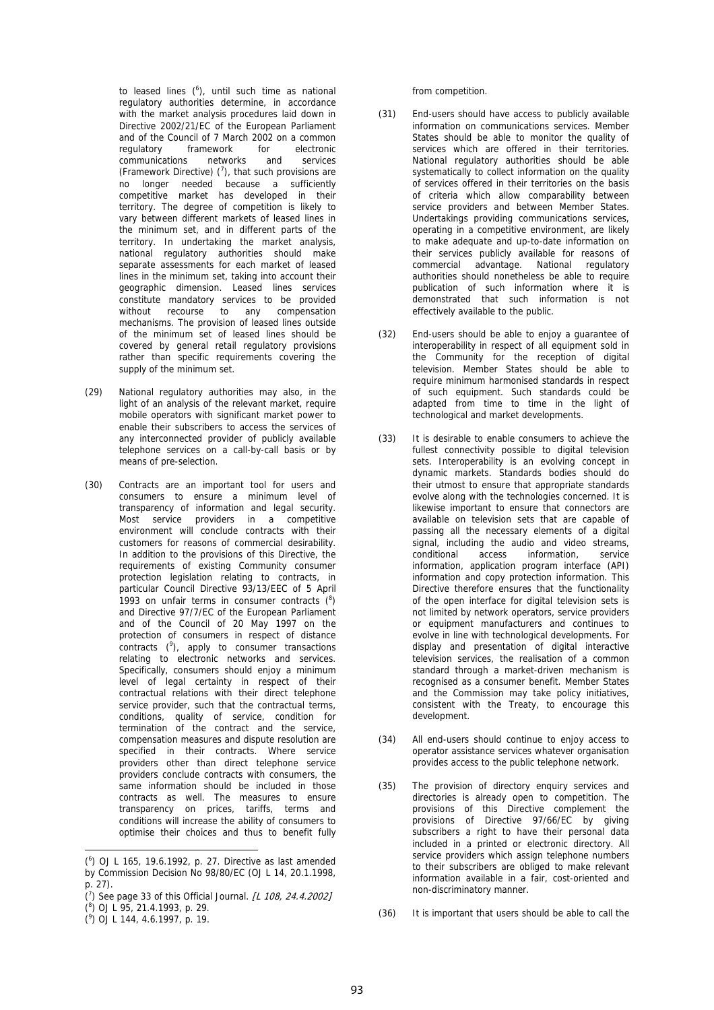to leased lines (<sup>6</sup>), until such time as national regulatory authorities determine, in accordance with the market analysis procedures laid down in Directive 2002/21/EC of the European Parliament and of the Council of 7 March 2002 on a common<br>regulatory framework for electronic regulatory framework for electronic<br>communications networks and services communications networks (Framework Directive)  $(7)$ , that such provisions are no longer needed because a sufficiently competitive market has developed in their territory. The degree of competition is likely to vary between different markets of leased lines in the minimum set, and in different parts of the territory. In undertaking the market analysis, national regulatory authorities should make separate assessments for each market of leased lines in the minimum set, taking into account their geographic dimension. Leased lines services constitute mandatory services to be provided without recourse to any compensation mechanisms. The provision of leased lines outside of the minimum set of leased lines should be covered by general retail regulatory provisions rather than specific requirements covering the supply of the minimum set.

- (29) National regulatory authorities may also, in the light of an analysis of the relevant market, require mobile operators with significant market power to enable their subscribers to access the services of any interconnected provider of publicly available telephone services on a call-by-call basis or by means of pre-selection.
- (30) Contracts are an important tool for users and consumers to ensure a minimum level of transparency of information and legal security. Most service providers in a competitive environment will conclude contracts with their customers for reasons of commercial desirability. In addition to the provisions of this Directive, the requirements of existing Community consumer protection legislation relating to contracts, in particular Council Directive 93/13/EEC of 5 April 1993 on unfair terms in consumer contracts  $(^8)$ and Directive 97/7/EC of the European Parliament and of the Council of 20 May 1997 on the protection of consumers in respect of distance contracts  $(2)$ , apply to consumer transactions relating to electronic networks and services. Specifically, consumers should enjoy a minimum level of legal certainty in respect of their contractual relations with their direct telephone service provider, such that the contractual terms. conditions, quality of service, condition for termination of the contract and the service, compensation measures and dispute resolution are specified in their contracts. Where service providers other than direct telephone service providers conclude contracts with consumers, the same information should be included in those contracts as well. The measures to ensure transparency on prices, tariffs, terms and conditions will increase the ability of consumers to optimise their choices and thus to benefit fully

( 8 ) OJ L 95, 21.4.1993, p. 29.

l

from competition.

- (31) End-users should have access to publicly available information on communications services. Member States should be able to monitor the quality of services which are offered in their territories. National regulatory authorities should be able systematically to collect information on the quality of services offered in their territories on the basis of criteria which allow comparability between service providers and between Member States. Undertakings providing communications services, operating in a competitive environment, are likely to make adequate and up-to-date information on their services publicly available for reasons of commercial advantage. National regulatory authorities should nonetheless be able to require publication of such information where it is demonstrated that such information is not effectively available to the public.
- (32) End-users should be able to enjoy a guarantee of interoperability in respect of all equipment sold in the Community for the reception of digital television. Member States should be able to require minimum harmonised standards in respect of such equipment. Such standards could be adapted from time to time in the light of technological and market developments.
- (33) It is desirable to enable consumers to achieve the fullest connectivity possible to digital television sets. Interoperability is an evolving concept in dynamic markets. Standards bodies should do their utmost to ensure that appropriate standards evolve along with the technologies concerned. It is likewise important to ensure that connectors are available on television sets that are capable of passing all the necessary elements of a digital signal, including the audio and video streams,<br>conditional access information, service access information, information, application program interface (API) information and copy protection information. This Directive therefore ensures that the functionality of the open interface for digital television sets is not limited by network operators, service providers or equipment manufacturers and continues to evolve in line with technological developments. For display and presentation of digital interactive television services, the realisation of a common standard through a market-driven mechanism is recognised as a consumer benefit. Member States and the Commission may take policy initiatives, consistent with the Treaty, to encourage this development.
- (34) All end-users should continue to enjoy access to operator assistance services whatever organisation provides access to the public telephone network.
- (35) The provision of directory enquiry services and directories is already open to competition. The provisions of this Directive complement the provisions of Directive 97/66/EC by giving subscribers a right to have their personal data included in a printed or electronic directory. All service providers which assign telephone numbers to their subscribers are obliged to make relevant information available in a fair, cost-oriented and non-discriminatory manner.
- (36) It is important that users should be able to call the

<sup>(</sup> 6 ) OJ L 165, 19.6.1992, p. 27. Directive as last amended by Commission Decision No 98/80/EC (OJ L 14, 20.1.1998, p. 27).

 $(7)$  See page 33 of this Official Journal.  $[1 108, 24.4.2002]$ 

<sup>(</sup> 9 ) OJ L 144, 4.6.1997, p. 19.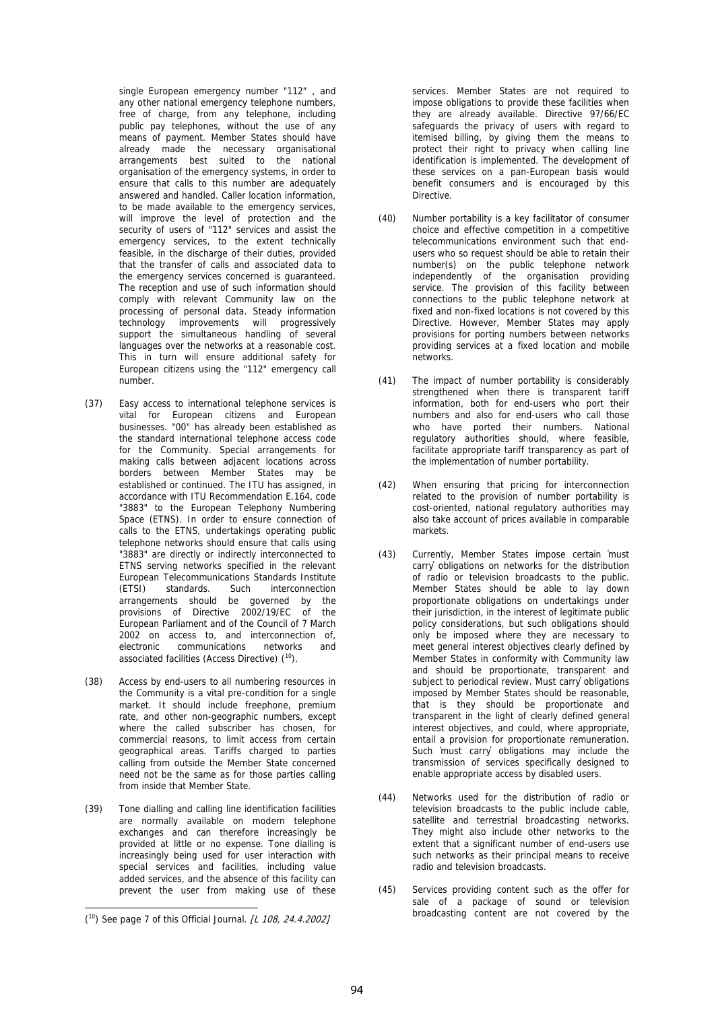single European emergency number "112" , and any other national emergency telephone numbers, free of charge, from any telephone, including public pay telephones, without the use of any means of payment. Member States should have already made the necessary organisational arrangements best suited to the national organisation of the emergency systems, in order to ensure that calls to this number are adequately answered and handled. Caller location information, to be made available to the emergency services, will improve the level of protection and the security of users of "112" services and assist the emergency services, to the extent technically feasible, in the discharge of their duties, provided that the transfer of calls and associated data to the emergency services concerned is guaranteed. The reception and use of such information should comply with relevant Community law on the processing of personal data. Steady information technology improvements will progressively support the simultaneous handling of several languages over the networks at a reasonable cost. This in turn will ensure additional safety for European citizens using the "112" emergency call number.

- (37) Easy access to international telephone services is vital for European citizens and European businesses. "00" has already been established as the standard international telephone access code for the Community. Special arrangements for making calls between adjacent locations across borders between Member States may be established or continued. The ITU has assigned, in accordance with ITU Recommendation E.164, code "3883" to the European Telephony Numbering Space (ETNS). In order to ensure connection of calls to the ETNS, undertakings operating public telephone networks should ensure that calls using "3883" are directly or indirectly interconnected to ETNS serving networks specified in the relevant European Telecommunications Standards Institute (ETSI) standards. Such interconnection arrangements should be governed by the provisions of Directive 2002/19/EC of the European Parliament and of the Council of 7 March 2002 on access to, and interconnection of, electronic communications networks and associated facilities (Access Directive) (<sup>10</sup>).
- (38) Access by end-users to all numbering resources in the Community is a vital pre-condition for a single market. It should include freephone, premium rate, and other non-geographic numbers, except where the called subscriber has chosen, for commercial reasons, to limit access from certain geographical areas. Tariffs charged to parties calling from outside the Member State concerned need not be the same as for those parties calling from inside that Member State.
- (39) Tone dialling and calling line identification facilities are normally available on modern telephone exchanges and can therefore increasingly be provided at little or no expense. Tone dialling is increasingly being used for user interaction with special services and facilities, including value added services, and the absence of this facility can prevent the user from making use of these

services. Member States are not required to impose obligations to provide these facilities when they are already available. Directive 97/66/EC safeguards the privacy of users with regard to itemised billing, by giving them the means to protect their right to privacy when calling line identification is implemented. The development of these services on a pan-European basis would benefit consumers and is encouraged by this **Directive** 

- (40) Number portability is a key facilitator of consumer choice and effective competition in a competitive telecommunications environment such that endusers who so request should be able to retain their number(s) on the public telephone network independently of the organisation providing service. The provision of this facility between connections to the public telephone network at fixed and non-fixed locations is not covered by this Directive. However, Member States may apply provisions for porting numbers between networks providing services at a fixed location and mobile networks.
- (41) The impact of number portability is considerably strengthened when there is transparent tariff information, both for end-users who port their numbers and also for end-users who call those who have ported their numbers. National regulatory authorities should, where feasible, facilitate appropriate tariff transparency as part of the implementation of number portability.
- (42) When ensuring that pricing for interconnection related to the provision of number portability is cost-oriented, national regulatory authorities may also take account of prices available in comparable markets.
- (43) Currently, Member States impose certain 'must carry̓ obligations on networks for the distribution of radio or television broadcasts to the public. Member States should be able to lay down proportionate obligations on undertakings under their jurisdiction, in the interest of legitimate public policy considerations, but such obligations should only be imposed where they are necessary to meet general interest objectives clearly defined by Member States in conformity with Community law and should be proportionate, transparent and subject to periodical review. Must carry obligations imposed by Member States should be reasonable, that is they should be proportionate and transparent in the light of clearly defined general interest objectives, and could, where appropriate, entail a provision for proportionate remuneration. Such 'must carry' obligations may include the transmission of services specifically designed to enable appropriate access by disabled users.
- (44) Networks used for the distribution of radio or television broadcasts to the public include cable, satellite and terrestrial broadcasting networks. They might also include other networks to the extent that a significant number of end-users use such networks as their principal means to receive radio and television broadcasts.
- (45) Services providing content such as the offer for sale of a package of sound or television broadcasting content are not covered by the

<sup>1</sup>  $(10)$  See page 7 of this Official Journal. [L 108, 24.4.2002]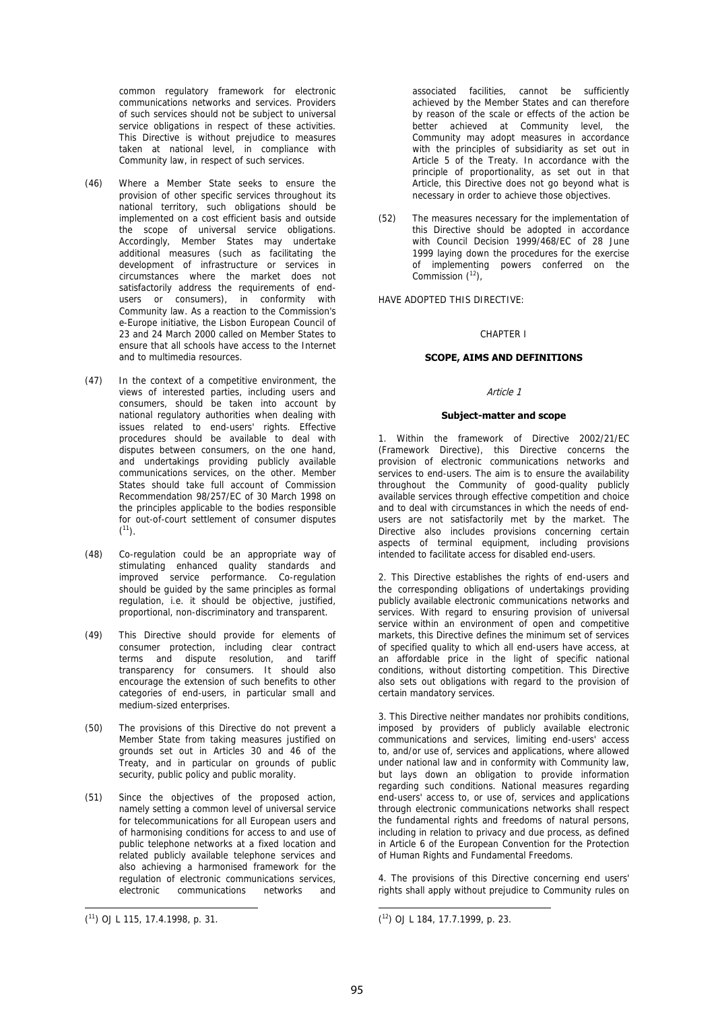common regulatory framework for electronic communications networks and services. Providers of such services should not be subject to universal service obligations in respect of these activities. This Directive is without prejudice to measures taken at national level, in compliance with Community law, in respect of such services.

- (46) Where a Member State seeks to ensure the provision of other specific services throughout its national territory, such obligations should be implemented on a cost efficient basis and outside the scope of universal service obligations. Accordingly, Member States may undertake additional measures (such as facilitating the development of infrastructure or services in circumstances where the market does not satisfactorily address the requirements of endusers or consumers), in conformity with Community law. As a reaction to the Commission's e-Europe initiative, the Lisbon European Council of 23 and 24 March 2000 called on Member States to ensure that all schools have access to the Internet and to multimedia resources.
- (47) In the context of a competitive environment, the views of interested parties, including users and consumers, should be taken into account by national regulatory authorities when dealing with issues related to end-users' rights. Effective procedures should be available to deal with disputes between consumers, on the one hand, and undertakings providing publicly available communications services, on the other. Member States should take full account of Commission Recommendation 98/257/EC of 30 March 1998 on the principles applicable to the bodies responsible for out-of-court settlement of consumer disputes  $(^{11})$ .
- (48) Co-regulation could be an appropriate way of stimulating enhanced quality standards and improved service performance. Co-regulation should be guided by the same principles as formal regulation, i.e. it should be objective, justified, proportional, non-discriminatory and transparent.
- (49) This Directive should provide for elements of consumer protection, including clear contract terms and dispute resolution, and tariff transparency for consumers. It should also encourage the extension of such benefits to other categories of end-users, in particular small and medium-sized enterprises.
- (50) The provisions of this Directive do not prevent a Member State from taking measures justified on grounds set out in Articles 30 and 46 of the Treaty, and in particular on grounds of public security, public policy and public morality.
- (51) Since the objectives of the proposed action, namely setting a common level of universal service for telecommunications for all European users and of harmonising conditions for access to and use of public telephone networks at a fixed location and related publicly available telephone services and also achieving a harmonised framework for the regulation of electronic communications services, electronic communications networks and

1

associated facilities, cannot be sufficiently achieved by the Member States and can therefore by reason of the scale or effects of the action be better achieved at Community level, the Community may adopt measures in accordance with the principles of subsidiarity as set out in Article 5 of the Treaty. In accordance with the principle of proportionality, as set out in that Article, this Directive does not go beyond what is necessary in order to achieve those objectives.

(52) The measures necessary for the implementation of this Directive should be adopted in accordance with Council Decision 1999/468/EC of 28 June 1999 laying down the procedures for the exercise of implementing powers conferred on the Commission  $(^{12})$ ,

HAVE ADOPTED THIS DIRECTIVE:

### CHAPTER I

# **SCOPE, AIMS AND DEFINITIONS**

# Article 1

# **Subject-matter and scope**

1. Within the framework of Directive 2002/21/EC (Framework Directive), this Directive concerns the provision of electronic communications networks and services to end-users. The aim is to ensure the availability throughout the Community of good-quality publicly available services through effective competition and choice and to deal with circumstances in which the needs of endusers are not satisfactorily met by the market. The Directive also includes provisions concerning certain aspects of terminal equipment, including provisions intended to facilitate access for disabled end-users.

2. This Directive establishes the rights of end-users and the corresponding obligations of undertakings providing publicly available electronic communications networks and services. With regard to ensuring provision of universal service within an environment of open and competitive markets, this Directive defines the minimum set of services of specified quality to which all end-users have access, at an affordable price in the light of specific national conditions, without distorting competition. This Directive also sets out obligations with regard to the provision of certain mandatory services.

3. This Directive neither mandates nor prohibits conditions, imposed by providers of publicly available electronic communications and services, limiting end-users' access to, and/or use of, services and applications, where allowed under national law and in conformity with Community law, but lays down an obligation to provide information regarding such conditions. National measures regarding end-users' access to, or use of, services and applications through electronic communications networks shall respect the fundamental rights and freedoms of natural persons, including in relation to privacy and due process, as defined in Article 6 of the European Convention for the Protection of Human Rights and Fundamental Freedoms.

4. The provisions of this Directive concerning end users' rights shall apply without prejudice to Community rules on

1

<sup>(</sup> 11) OJ L 115, 17.4.1998, p. 31.

<sup>(</sup> 12) OJ L 184, 17.7.1999, p. 23.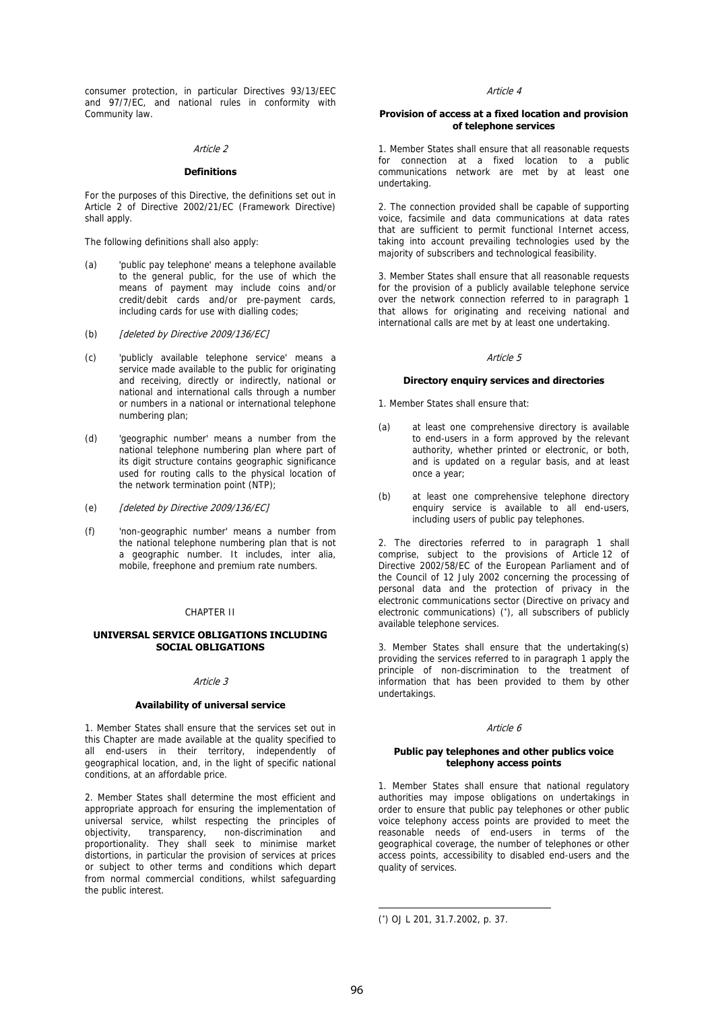consumer protection, in particular Directives 93/13/EEC and 97/7/EC, and national rules in conformity with Community law.

# Article 2

### **Definitions**

For the purposes of this Directive, the definitions set out in Article 2 of Directive 2002/21/EC (Framework Directive) shall apply.

The following definitions shall also apply:

- (a) 'public pay telephone' means a telephone available to the general public, for the use of which the means of payment may include coins and/or credit/debit cards and/or pre-payment cards, including cards for use with dialling codes;
- (b) [deleted by Directive 2009/136/EC]
- (c) 'publicly available telephone service' means a service made available to the public for originating and receiving, directly or indirectly, national or national and international calls through a number or numbers in a national or international telephone numbering plan;
- (d) 'geographic number' means a number from the national telephone numbering plan where part of its digit structure contains geographic significance used for routing calls to the physical location of the network termination point (NTP);
- (e) [deleted by Directive 2009/136/EC]
- (f) 'non-geographic number' means a number from the national telephone numbering plan that is not a geographic number. It includes, inter alia, mobile, freephone and premium rate numbers.

#### CHAPTER II

# **UNIVERSAL SERVICE OBLIGATIONS INCLUDING SOCIAL OBLIGATIONS**

### Article 3

## **Availability of universal service**

1. Member States shall ensure that the services set out in this Chapter are made available at the quality specified to all end-users in their territory, independently of geographical location, and, in the light of specific national conditions, at an affordable price.

2. Member States shall determine the most efficient and appropriate approach for ensuring the implementation of universal service, whilst respecting the principles of objectivity, transparency, non-discrimination and objectivity, transparency, non-discrimination and proportionality. They shall seek to minimise market distortions, in particular the provision of services at prices or subject to other terms and conditions which depart from normal commercial conditions, whilst safeguarding the public interest.

# Article 4

## **Provision of access at a fixed location and provision of telephone services**

1. Member States shall ensure that all reasonable requests for connection at a fixed location to a public communications network are met by at least one undertaking.

2. The connection provided shall be capable of supporting voice, facsimile and data communications at data rates that are sufficient to permit functional Internet access, taking into account prevailing technologies used by the majority of subscribers and technological feasibility.

3. Member States shall ensure that all reasonable requests for the provision of a publicly available telephone service over the network connection referred to in paragraph 1 that allows for originating and receiving national and international calls are met by at least one undertaking.

# Article 5

# **Directory enquiry services and directories**

1. Member States shall ensure that:

- (a) at least one comprehensive directory is available to end-users in a form approved by the relevant authority, whether printed or electronic, or both, and is updated on a regular basis, and at least once a year;
- (b) at least one comprehensive telephone directory enquiry service is available to all end-users, including users of public pay telephones.

2. The directories referred to in paragraph 1 shall comprise, subject to the provisions of Article 12 of Directive 2002/58/EC of the European Parliament and of the Council of 12 July 2002 concerning the processing of personal data and the protection of privacy in the electronic communications sector (Directive on privacy and electronic communications) (<sup>∗</sup> ), all subscribers of publicly available telephone services.

3. Member States shall ensure that the undertaking(s) providing the services referred to in paragraph 1 apply the principle of non-discrimination to the treatment of information that has been provided to them by other undertakings.

# Article 6

### **Public pay telephones and other publics voice telephony access points**

1. Member States shall ensure that national regulatory authorities may impose obligations on undertakings in order to ensure that public pay telephones or other public voice telephony access points are provided to meet the reasonable needs of end-users in terms of the geographical coverage, the number of telephones or other access points, accessibility to disabled end-users and the quality of services.

l

<sup>(</sup> ∗ ) OJ L 201, 31.7.2002, p. 37.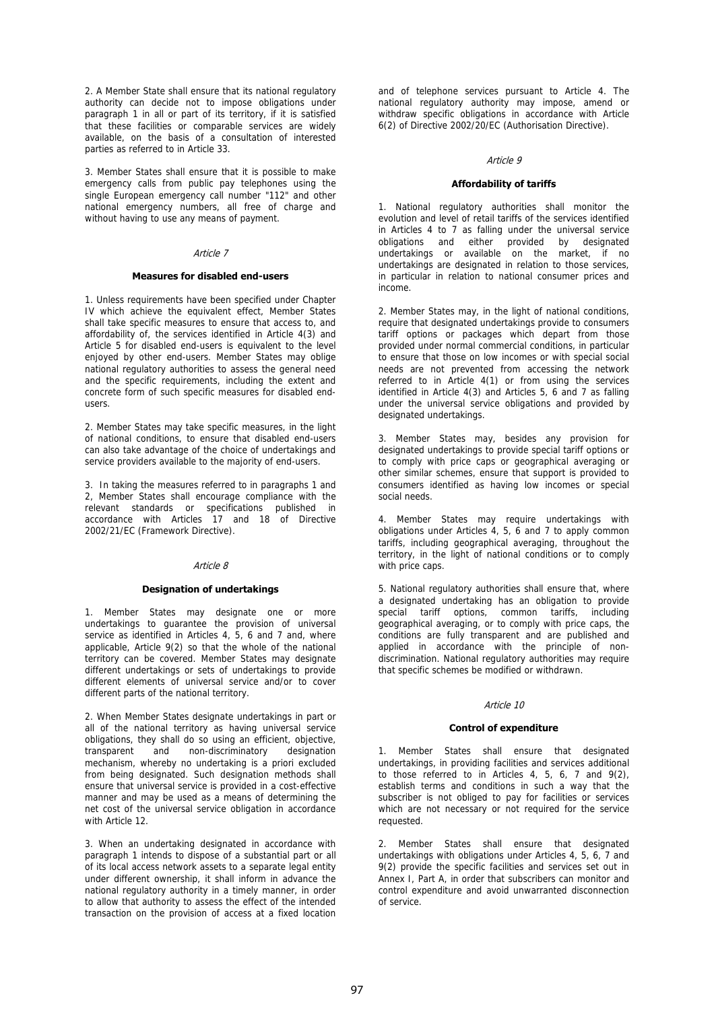2. A Member State shall ensure that its national regulatory authority can decide not to impose obligations under paragraph 1 in all or part of its territory, if it is satisfied that these facilities or comparable services are widely available, on the basis of a consultation of interested parties as referred to in Article 33.

3. Member States shall ensure that it is possible to make emergency calls from public pay telephones using the single European emergency call number "112" and other national emergency numbers, all free of charge and without having to use any means of payment.

# Article 7

# **Measures for disabled end-users**

1. Unless requirements have been specified under Chapter IV which achieve the equivalent effect, Member States shall take specific measures to ensure that access to, and affordability of, the services identified in Article 4(3) and Article 5 for disabled end-users is equivalent to the level enjoyed by other end-users. Member States may oblige national regulatory authorities to assess the general need and the specific requirements, including the extent and concrete form of such specific measures for disabled endusers.

2. Member States may take specific measures, in the light of national conditions, to ensure that disabled end-users can also take advantage of the choice of undertakings and service providers available to the majority of end-users.

3. In taking the measures referred to in paragraphs 1 and 2, Member States shall encourage compliance with the relevant standards or specifications published in accordance with Articles 17 and 18 of Directive 2002/21/EC (Framework Directive).

### Article 8

# **Designation of undertakings**

1. Member States may designate one or more undertakings to guarantee the provision of universal service as identified in Articles 4, 5, 6 and 7 and, where applicable, Article 9(2) so that the whole of the national territory can be covered. Member States may designate different undertakings or sets of undertakings to provide different elements of universal service and/or to cover different parts of the national territory.

2. When Member States designate undertakings in part or all of the national territory as having universal service obligations, they shall do so using an efficient, objective, transparent and non-discriminatory designation mechanism, whereby no undertaking is a priori excluded from being designated. Such designation methods shall ensure that universal service is provided in a cost-effective manner and may be used as a means of determining the net cost of the universal service obligation in accordance with Article 12.

3. When an undertaking designated in accordance with paragraph 1 intends to dispose of a substantial part or all of its local access network assets to a separate legal entity under different ownership, it shall inform in advance the national regulatory authority in a timely manner, in order to allow that authority to assess the effect of the intended transaction on the provision of access at a fixed location

and of telephone services pursuant to Article 4. The national regulatory authority may impose, amend or withdraw specific obligations in accordance with Article 6(2) of Directive 2002/20/EC (Authorisation Directive).

# Article 9

# **Affordability of tariffs**

1. National regulatory authorities shall monitor the evolution and level of retail tariffs of the services identified in Articles 4 to 7 as falling under the universal service obligations and either provided by designated undertakings or available on the market, if no undertakings are designated in relation to those services, in particular in relation to national consumer prices and income.

2. Member States may, in the light of national conditions, require that designated undertakings provide to consumers tariff options or packages which depart from those provided under normal commercial conditions, in particular to ensure that those on low incomes or with special social needs are not prevented from accessing the network referred to in Article 4(1) or from using the services identified in Article 4(3) and Articles 5, 6 and 7 as falling under the universal service obligations and provided by designated undertakings.

3. Member States may, besides any provision for designated undertakings to provide special tariff options or to comply with price caps or geographical averaging or other similar schemes, ensure that support is provided to consumers identified as having low incomes or special social needs.

4. Member States may require undertakings with obligations under Articles 4, 5, 6 and 7 to apply common tariffs, including geographical averaging, throughout the territory, in the light of national conditions or to comply with price caps.

5. National regulatory authorities shall ensure that, where a designated undertaking has an obligation to provide special tariff options, common tariffs, including geographical averaging, or to comply with price caps, the conditions are fully transparent and are published and applied in accordance with the principle of nondiscrimination. National regulatory authorities may require that specific schemes be modified or withdrawn.

## Article 10

### **Control of expenditure**

1. Member States shall ensure that designated undertakings, in providing facilities and services additional to those referred to in Articles 4, 5, 6, 7 and 9(2), establish terms and conditions in such a way that the subscriber is not obliged to pay for facilities or services which are not necessary or not required for the service requested.

2. Member States shall ensure that designated undertakings with obligations under Articles 4, 5, 6, 7 and 9(2) provide the specific facilities and services set out in Annex I, Part A, in order that subscribers can monitor and control expenditure and avoid unwarranted disconnection of service.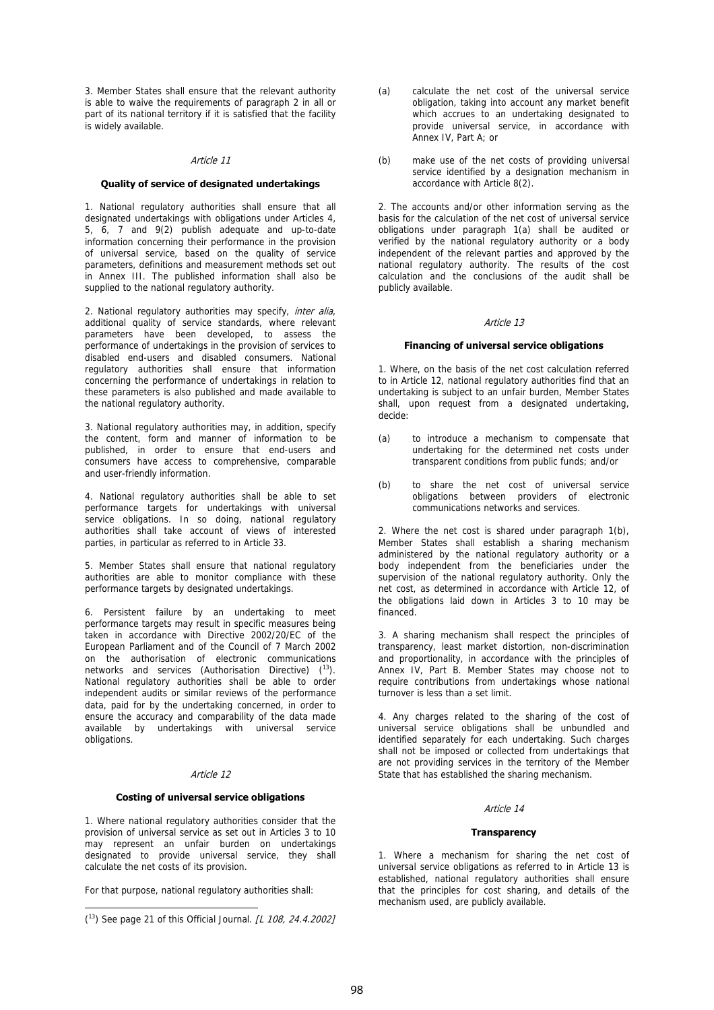3. Member States shall ensure that the relevant authority is able to waive the requirements of paragraph 2 in all or part of its national territory if it is satisfied that the facility is widely available.

#### Article 11

# **Quality of service of designated undertakings**

1. National regulatory authorities shall ensure that all designated undertakings with obligations under Articles 4, 5, 6, 7 and 9(2) publish adequate and up-to-date information concerning their performance in the provision of universal service, based on the quality of service parameters, definitions and measurement methods set out in Annex III. The published information shall also be supplied to the national regulatory authority.

2. National regulatory authorities may specify, inter alia, additional quality of service standards, where relevant parameters have been developed, to assess the performance of undertakings in the provision of services to disabled end-users and disabled consumers. National regulatory authorities shall ensure that information concerning the performance of undertakings in relation to these parameters is also published and made available to the national regulatory authority.

3. National regulatory authorities may, in addition, specify the content, form and manner of information to be published, in order to ensure that end-users and consumers have access to comprehensive, comparable and user-friendly information.

4. National regulatory authorities shall be able to set performance targets for undertakings with universal service obligations. In so doing, national regulatory authorities shall take account of views of interested parties, in particular as referred to in Article 33.

5. Member States shall ensure that national regulatory authorities are able to monitor compliance with these performance targets by designated undertakings.

6. Persistent failure by an undertaking to meet performance targets may result in specific measures being taken in accordance with Directive 2002/20/EC of the European Parliament and of the Council of 7 March 2002 on the authorisation of electronic communications networks and services (Authorisation Directive) (13). National regulatory authorities shall be able to order independent audits or similar reviews of the performance data, paid for by the undertaking concerned, in order to ensure the accuracy and comparability of the data made available by undertakings with universal service obligations.

### Article 12

# **Costing of universal service obligations**

1. Where national regulatory authorities consider that the provision of universal service as set out in Articles 3 to 10 may represent an unfair burden on undertakings designated to provide universal service, they shall calculate the net costs of its provision.

For that purpose, national regulatory authorities shall:

1

- (a) calculate the net cost of the universal service obligation, taking into account any market benefit which accrues to an undertaking designated to provide universal service, in accordance with Annex IV, Part A; or
- (b) make use of the net costs of providing universal service identified by a designation mechanism in accordance with Article 8(2).

2. The accounts and/or other information serving as the basis for the calculation of the net cost of universal service obligations under paragraph 1(a) shall be audited or verified by the national regulatory authority or a body independent of the relevant parties and approved by the national regulatory authority. The results of the cost calculation and the conclusions of the audit shall be publicly available.

# Article 13

# **Financing of universal service obligations**

1. Where, on the basis of the net cost calculation referred to in Article 12, national regulatory authorities find that an undertaking is subject to an unfair burden, Member States shall, upon request from a designated undertaking, decide:

- (a) to introduce a mechanism to compensate that undertaking for the determined net costs under transparent conditions from public funds; and/or
- (b) to share the net cost of universal service obligations between providers of electronic communications networks and services.

2. Where the net cost is shared under paragraph 1(b), Member States shall establish a sharing mechanism administered by the national regulatory authority or a body independent from the beneficiaries under the supervision of the national regulatory authority. Only the net cost, as determined in accordance with Article 12, of the obligations laid down in Articles 3 to 10 may be financed.

3. A sharing mechanism shall respect the principles of transparency, least market distortion, non-discrimination and proportionality, in accordance with the principles of Annex IV, Part B. Member States may choose not to require contributions from undertakings whose national turnover is less than a set limit.

4. Any charges related to the sharing of the cost of universal service obligations shall be unbundled and identified separately for each undertaking. Such charges shall not be imposed or collected from undertakings that are not providing services in the territory of the Member State that has established the sharing mechanism.

## Article 14

### **Transparency**

1. Where a mechanism for sharing the net cost of universal service obligations as referred to in Article 13 is established, national regulatory authorities shall ensure that the principles for cost sharing, and details of the mechanism used, are publicly available.

 $(13)$  See page 21 of this Official Journal. *[L 108, 24.4.2002]*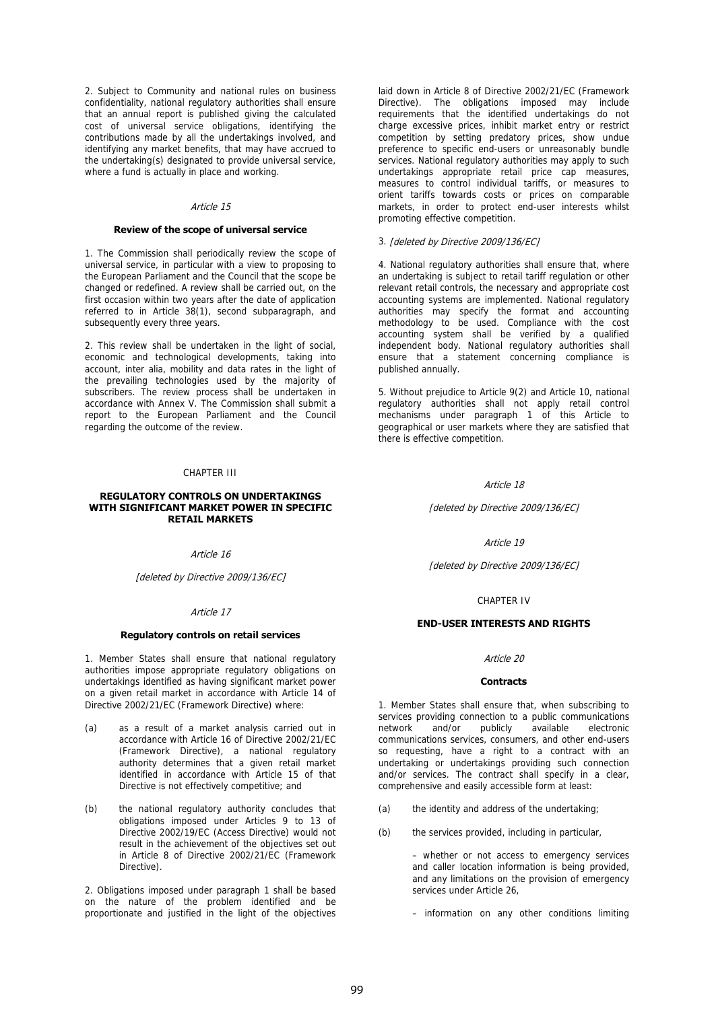2. Subject to Community and national rules on business confidentiality, national regulatory authorities shall ensure that an annual report is published giving the calculated cost of universal service obligations, identifying the contributions made by all the undertakings involved, and identifying any market benefits, that may have accrued to the undertaking(s) designated to provide universal service, where a fund is actually in place and working.

## Article 15

## **Review of the scope of universal service**

1. The Commission shall periodically review the scope of universal service, in particular with a view to proposing to the European Parliament and the Council that the scope be changed or redefined. A review shall be carried out, on the first occasion within two years after the date of application referred to in Article 38(1), second subparagraph, and subsequently every three years.

2. This review shall be undertaken in the light of social, economic and technological developments, taking into account, inter alia, mobility and data rates in the light of the prevailing technologies used by the majority of subscribers. The review process shall be undertaken in accordance with Annex V. The Commission shall submit a report to the European Parliament and the Council regarding the outcome of the review.

### CHAPTER III

### **REGULATORY CONTROLS ON UNDERTAKINGS WITH SIGNIFICANT MARKET POWER IN SPECIFIC RETAIL MARKETS**

Article 16

[deleted by Directive 2009/136/EC]

#### Article 17

#### **Regulatory controls on retail services**

1. Member States shall ensure that national regulatory authorities impose appropriate regulatory obligations on undertakings identified as having significant market power on a given retail market in accordance with Article 14 of Directive 2002/21/EC (Framework Directive) where:

- (a) as a result of a market analysis carried out in accordance with Article 16 of Directive 2002/21/EC (Framework Directive), a national regulatory authority determines that a given retail market identified in accordance with Article 15 of that Directive is not effectively competitive; and
- (b) the national regulatory authority concludes that obligations imposed under Articles 9 to 13 of Directive 2002/19/EC (Access Directive) would not result in the achievement of the objectives set out in Article 8 of Directive 2002/21/EC (Framework Directive).

2. Obligations imposed under paragraph 1 shall be based on the nature of the problem identified and be proportionate and justified in the light of the objectives

laid down in Article 8 of Directive 2002/21/EC (Framework Directive). The obligations imposed may include requirements that the identified undertakings do not charge excessive prices, inhibit market entry or restrict competition by setting predatory prices, show undue preference to specific end-users or unreasonably bundle services. National regulatory authorities may apply to such undertakings appropriate retail price cap measures, measures to control individual tariffs, or measures to orient tariffs towards costs or prices on comparable markets, in order to protect end-user interests whilst promoting effective competition.

## 3. [deleted by Directive 2009/136/EC]

4. National regulatory authorities shall ensure that, where an undertaking is subject to retail tariff regulation or other relevant retail controls, the necessary and appropriate cost accounting systems are implemented. National regulatory authorities may specify the format and accounting methodology to be used. Compliance with the cost accounting system shall be verified by a qualified independent body. National regulatory authorities shall ensure that a statement concerning compliance is published annually.

5. Without prejudice to Article 9(2) and Article 10, national regulatory authorities shall not apply retail control mechanisms under paragraph 1 of this Article to geographical or user markets where they are satisfied that there is effective competition.

#### Article 18

[deleted by Directive 2009/136/EC]

Article 19

[deleted by Directive 2009/136/EC]

# CHAPTER IV

## **END-USER INTERESTS AND RIGHTS**

#### Article 20

## **Contracts**

1. Member States shall ensure that, when subscribing to services providing connection to a public communications<br>network and/or publicly available electronic and/or publicly available communications services, consumers, and other end-users so requesting, have a right to a contract with an undertaking or undertakings providing such connection and/or services. The contract shall specify in a clear, comprehensive and easily accessible form at least:

- (a) the identity and address of the undertaking:
- (b) the services provided, including in particular,

– whether or not access to emergency services and caller location information is being provided, and any limitations on the provision of emergency services under Article 26.

– information on any other conditions limiting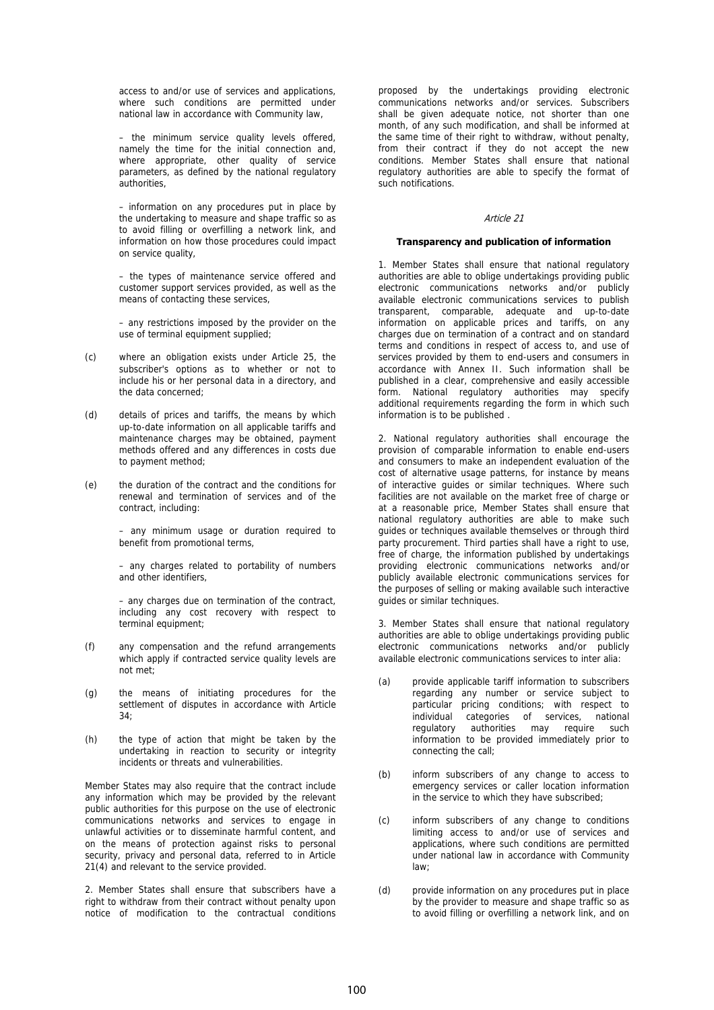access to and/or use of services and applications, where such conditions are permitted under national law in accordance with Community law,

– the minimum service quality levels offered, namely the time for the initial connection and, where appropriate, other quality of service parameters, as defined by the national regulatory authorities,

– information on any procedures put in place by the undertaking to measure and shape traffic so as to avoid filling or overfilling a network link, and information on how those procedures could impact on service quality,

– the types of maintenance service offered and customer support services provided, as well as the means of contacting these services,

– any restrictions imposed by the provider on the use of terminal equipment supplied;

- (c) where an obligation exists under Article 25, the subscriber's options as to whether or not to include his or her personal data in a directory, and the data concerned;
- (d) details of prices and tariffs, the means by which up-to-date information on all applicable tariffs and maintenance charges may be obtained, payment methods offered and any differences in costs due to payment method;
- (e) the duration of the contract and the conditions for renewal and termination of services and of the contract, including:

– any minimum usage or duration required to benefit from promotional terms,

– any charges related to portability of numbers and other identifiers,

– any charges due on termination of the contract, including any cost recovery with respect to terminal equipment;

- (f) any compensation and the refund arrangements which apply if contracted service quality levels are not met;
- (g) the means of initiating procedures for the settlement of disputes in accordance with Article 34;
- (h) the type of action that might be taken by the undertaking in reaction to security or integrity incidents or threats and vulnerabilities.

Member States may also require that the contract include any information which may be provided by the relevant public authorities for this purpose on the use of electronic communications networks and services to engage in unlawful activities or to disseminate harmful content, and on the means of protection against risks to personal security, privacy and personal data, referred to in Article 21(4) and relevant to the service provided.

2. Member States shall ensure that subscribers have a right to withdraw from their contract without penalty upon notice of modification to the contractual conditions proposed by the undertakings providing electronic communications networks and/or services. Subscribers shall be given adequate notice, not shorter than one month, of any such modification, and shall be informed at the same time of their right to withdraw, without penalty, from their contract if they do not accept the new conditions. Member States shall ensure that national regulatory authorities are able to specify the format of such notifications.

### Article 21

## **Transparency and publication of information**

1. Member States shall ensure that national regulatory authorities are able to oblige undertakings providing public electronic communications networks and/or publicly available electronic communications services to publish transparent, comparable, adequate and up-to-date information on applicable prices and tariffs, on any charges due on termination of a contract and on standard terms and conditions in respect of access to, and use of services provided by them to end-users and consumers in accordance with Annex II. Such information shall be published in a clear, comprehensive and easily accessible form. National regulatory authorities may specify additional requirements regarding the form in which such information is to be published .

2. National regulatory authorities shall encourage the provision of comparable information to enable end-users and consumers to make an independent evaluation of the cost of alternative usage patterns, for instance by means of interactive guides or similar techniques. Where such facilities are not available on the market free of charge or at a reasonable price, Member States shall ensure that national regulatory authorities are able to make such guides or techniques available themselves or through third party procurement. Third parties shall have a right to use, free of charge, the information published by undertakings providing electronic communications networks and/or publicly available electronic communications services for the purposes of selling or making available such interactive guides or similar techniques.

3. Member States shall ensure that national regulatory authorities are able to oblige undertakings providing public electronic communications networks and/or publicly available electronic communications services to inter alia:

- (a) provide applicable tariff information to subscribers regarding any number or service subject to particular pricing conditions; with respect to individual categories of services, national regulatory authorities may require such information to be provided immediately prior to connecting the call;
- (b) inform subscribers of any change to access to emergency services or caller location information in the service to which they have subscribed;
- (c) inform subscribers of any change to conditions limiting access to and/or use of services and applications, where such conditions are permitted under national law in accordance with Community law;
- (d) provide information on any procedures put in place by the provider to measure and shape traffic so as to avoid filling or overfilling a network link, and on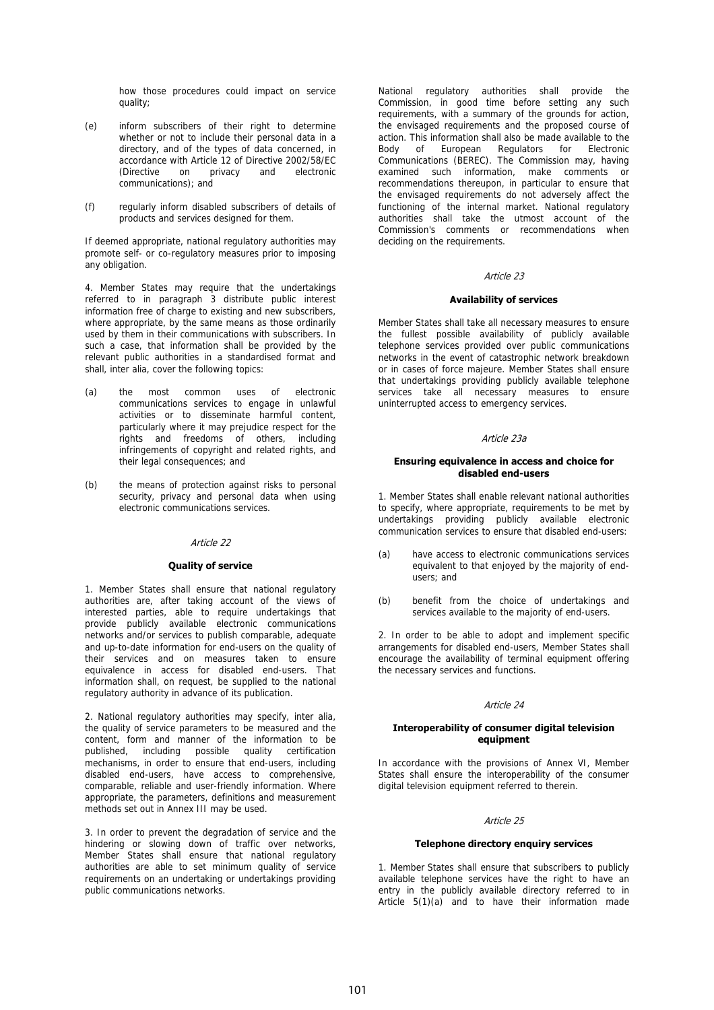how those procedures could impact on service quality;

- (e) inform subscribers of their right to determine whether or not to include their personal data in a directory, and of the types of data concerned, in accordance with Article 12 of Directive 2002/58/EC (Directive on privacy and electronic communications); and
- (f) regularly inform disabled subscribers of details of products and services designed for them.

If deemed appropriate, national regulatory authorities may promote self- or co-regulatory measures prior to imposing any obligation.

4. Member States may require that the undertakings referred to in paragraph 3 distribute public interest information free of charge to existing and new subscribers, where appropriate, by the same means as those ordinarily used by them in their communications with subscribers. In such a case, that information shall be provided by the relevant public authorities in a standardised format and shall, inter alia, cover the following topics:

- (a) the most common uses of electronic communications services to engage in unlawful activities or to disseminate harmful content, particularly where it may prejudice respect for the rights and freedoms of others, including infringements of copyright and related rights, and their legal consequences; and
- (b) the means of protection against risks to personal security, privacy and personal data when using electronic communications services.

### Article 22

## **Quality of service**

1. Member States shall ensure that national regulatory authorities are, after taking account of the views of interested parties, able to require undertakings that provide publicly available electronic communications networks and/or services to publish comparable, adequate and up-to-date information for end-users on the quality of their services and on measures taken to ensure equivalence in access for disabled end-users. That information shall, on request, be supplied to the national regulatory authority in advance of its publication.

2. National regulatory authorities may specify, inter alia, the quality of service parameters to be measured and the content, form and manner of the information to be published, including possible quality certification mechanisms, in order to ensure that end-users, including disabled end-users, have access to comprehensive, comparable, reliable and user-friendly information. Where appropriate, the parameters, definitions and measurement methods set out in Annex III may be used.

3. In order to prevent the degradation of service and the hindering or slowing down of traffic over networks, Member States shall ensure that national regulatory authorities are able to set minimum quality of service requirements on an undertaking or undertakings providing public communications networks.

National regulatory authorities shall provide the Commission, in good time before setting any such requirements, with a summary of the grounds for action, the envisaged requirements and the proposed course of action. This information shall also be made available to the Body of European Regulators for Electronic Communications (BEREC). The Commission may, having examined such information, make comments or recommendations thereupon, in particular to ensure that the envisaged requirements do not adversely affect the functioning of the internal market. National regulatory authorities shall take the utmost account of the Commission's comments or recommendations when deciding on the requirements.

## Article 23

## **Availability of services**

Member States shall take all necessary measures to ensure the fullest possible availability of publicly available telephone services provided over public communications networks in the event of catastrophic network breakdown or in cases of force majeure. Member States shall ensure that undertakings providing publicly available telephone services take all necessary measures to ensure uninterrupted access to emergency services.

### Article 23a

## **Ensuring equivalence in access and choice for disabled end-users**

1. Member States shall enable relevant national authorities to specify, where appropriate, requirements to be met by undertakings providing publicly available electronic communication services to ensure that disabled end-users:

- (a) have access to electronic communications services equivalent to that enjoyed by the majority of endusers; and
- (b) benefit from the choice of undertakings and services available to the majority of end-users.

2. In order to be able to adopt and implement specific arrangements for disabled end-users, Member States shall encourage the availability of terminal equipment offering the necessary services and functions.

# Article 24

# **Interoperability of consumer digital television equipment**

In accordance with the provisions of Annex VI, Member States shall ensure the interoperability of the consumer digital television equipment referred to therein.

#### Article 25

## **Telephone directory enquiry services**

1. Member States shall ensure that subscribers to publicly available telephone services have the right to have an entry in the publicly available directory referred to in Article 5(1)(a) and to have their information made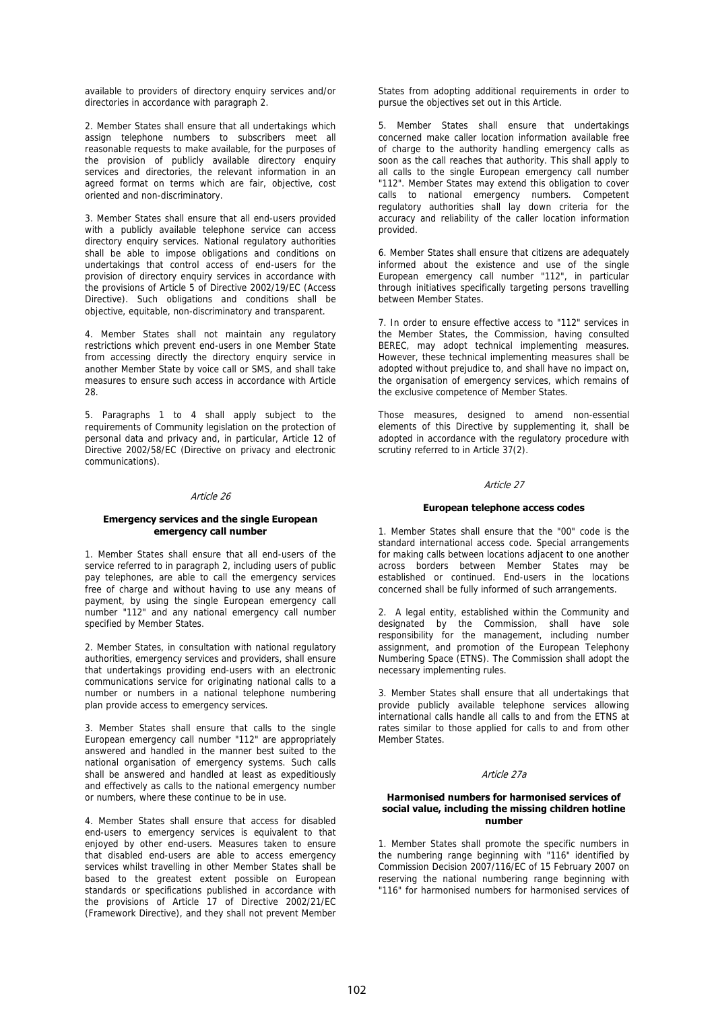available to providers of directory enquiry services and/or directories in accordance with paragraph 2.

2. Member States shall ensure that all undertakings which assign telephone numbers to subscribers meet all reasonable requests to make available, for the purposes of the provision of publicly available directory enquiry services and directories, the relevant information in an agreed format on terms which are fair, objective, cost oriented and non-discriminatory.

3. Member States shall ensure that all end-users provided with a publicly available telephone service can access directory enquiry services. National regulatory authorities shall be able to impose obligations and conditions on undertakings that control access of end-users for the provision of directory enquiry services in accordance with the provisions of Article 5 of Directive 2002/19/EC (Access Directive). Such obligations and conditions shall be objective, equitable, non-discriminatory and transparent.

4. Member States shall not maintain any regulatory restrictions which prevent end-users in one Member State from accessing directly the directory enquiry service in another Member State by voice call or SMS, and shall take measures to ensure such access in accordance with Article 28.

5. Paragraphs 1 to 4 shall apply subject to the requirements of Community legislation on the protection of personal data and privacy and, in particular, Article 12 of Directive 2002/58/EC (Directive on privacy and electronic communications).

#### Article 26

#### **Emergency services and the single European emergency call number**

1. Member States shall ensure that all end-users of the service referred to in paragraph 2, including users of public pay telephones, are able to call the emergency services free of charge and without having to use any means of payment, by using the single European emergency call number "112" and any national emergency call number specified by Member States.

2. Member States, in consultation with national regulatory authorities, emergency services and providers, shall ensure that undertakings providing end-users with an electronic communications service for originating national calls to a number or numbers in a national telephone numbering plan provide access to emergency services.

3. Member States shall ensure that calls to the single European emergency call number "112" are appropriately answered and handled in the manner best suited to the national organisation of emergency systems. Such calls shall be answered and handled at least as expeditiously and effectively as calls to the national emergency number or numbers, where these continue to be in use.

4. Member States shall ensure that access for disabled end-users to emergency services is equivalent to that enjoyed by other end-users. Measures taken to ensure that disabled end-users are able to access emergency services whilst travelling in other Member States shall be based to the greatest extent possible on European standards or specifications published in accordance with the provisions of Article 17 of Directive 2002/21/EC (Framework Directive), and they shall not prevent Member

States from adopting additional requirements in order to pursue the objectives set out in this Article.

5. Member States shall ensure that undertakings concerned make caller location information available free of charge to the authority handling emergency calls as soon as the call reaches that authority. This shall apply to all calls to the single European emergency call number "112". Member States may extend this obligation to cover calls to national emergency numbers. Competent regulatory authorities shall lay down criteria for the accuracy and reliability of the caller location information provided.

6. Member States shall ensure that citizens are adequately informed about the existence and use of the single European emergency call number "112", in particular through initiatives specifically targeting persons travelling between Member States.

7. In order to ensure effective access to "112" services in the Member States, the Commission, having consulted BEREC, may adopt technical implementing measures. However, these technical implementing measures shall be adopted without prejudice to, and shall have no impact on, the organisation of emergency services, which remains of the exclusive competence of Member States.

Those measures, designed to amend non-essential elements of this Directive by supplementing it, shall be adopted in accordance with the regulatory procedure with scrutiny referred to in Article 37(2).

#### Article 27

# **European telephone access codes**

1. Member States shall ensure that the "00" code is the standard international access code. Special arrangements for making calls between locations adjacent to one another across borders between Member States may be established or continued. End-users in the locations concerned shall be fully informed of such arrangements.

2. A legal entity, established within the Community and designated by the Commission, shall have sole responsibility for the management, including number assignment, and promotion of the European Telephony Numbering Space (ETNS). The Commission shall adopt the necessary implementing rules.

3. Member States shall ensure that all undertakings that provide publicly available telephone services allowing international calls handle all calls to and from the ETNS at rates similar to those applied for calls to and from other Member States.

### Article 27a

# **Harmonised numbers for harmonised services of social value, including the missing children hotline number**

1. Member States shall promote the specific numbers in the numbering range beginning with "116" identified by Commission Decision 2007/116/EC of 15 February 2007 on reserving the national numbering range beginning with "116" for harmonised numbers for harmonised services of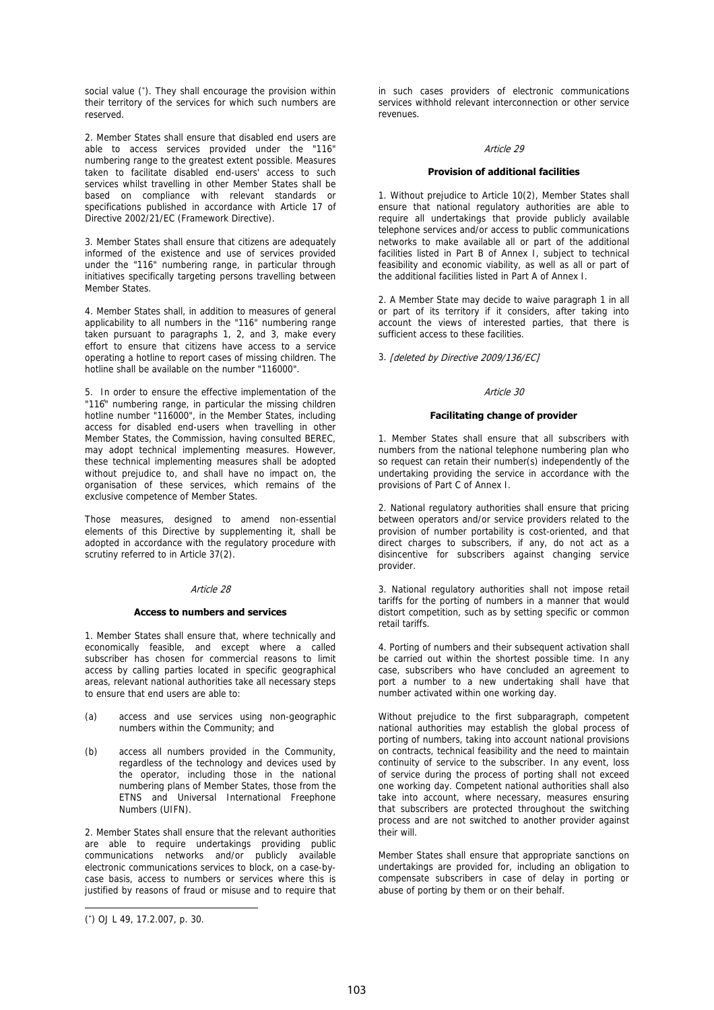social value (<sup>∗</sup> ). They shall encourage the provision within their territory of the services for which such numbers are reserved.

2. Member States shall ensure that disabled end users are able to access services provided under the "116" numbering range to the greatest extent possible. Measures taken to facilitate disabled end-users' access to such services whilst travelling in other Member States shall be based on compliance with relevant standards or specifications published in accordance with Article 17 of Directive 2002/21/EC (Framework Directive).

3. Member States shall ensure that citizens are adequately informed of the existence and use of services provided under the "116" numbering range, in particular through initiatives specifically targeting persons travelling between Member States.

4. Member States shall, in addition to measures of general applicability to all numbers in the "116" numbering range taken pursuant to paragraphs 1, 2, and 3, make every effort to ensure that citizens have access to a service operating a hotline to report cases of missing children. The hotline shall be available on the number "116000".

5. In order to ensure the effective implementation of the "116̓" numbering range, in particular the missing children hotline number "116000", in the Member States, including access for disabled end-users when travelling in other Member States, the Commission, having consulted BEREC, may adopt technical implementing measures. However, these technical implementing measures shall be adopted without prejudice to, and shall have no impact on, the organisation of these services, which remains of the exclusive competence of Member States.

Those measures, designed to amend non-essential elements of this Directive by supplementing it, shall be adopted in accordance with the regulatory procedure with scrutiny referred to in Article 37(2).

## Article 28

### **Access to numbers and services**

1. Member States shall ensure that, where technically and economically feasible, and except where a called subscriber has chosen for commercial reasons to limit access by calling parties located in specific geographical areas, relevant national authorities take all necessary steps to ensure that end users are able to:

- (a) access and use services using non-geographic numbers within the Community; and
- (b) access all numbers provided in the Community, regardless of the technology and devices used by the operator, including those in the national numbering plans of Member States, those from the ETNS and Universal International Freephone Numbers (UIFN).

2. Member States shall ensure that the relevant authorities are able to require undertakings providing public communications networks and/or publicly available electronic communications services to block, on a case-bycase basis, access to numbers or services where this is justified by reasons of fraud or misuse and to require that

l

in such cases providers of electronic communications services withhold relevant interconnection or other service revenues.

### Article 29

# **Provision of additional facilities**

1. Without prejudice to Article 10(2), Member States shall ensure that national regulatory authorities are able to require all undertakings that provide publicly available telephone services and/or access to public communications networks to make available all or part of the additional facilities listed in Part B of Annex I, subject to technical feasibility and economic viability, as well as all or part of the additional facilities listed in Part A of Annex I.

2. A Member State may decide to waive paragraph 1 in all or part of its territory if it considers, after taking into account the views of interested parties, that there is sufficient access to these facilities.

3. [deleted by Directive 2009/136/EC]

# Article 30

## **Facilitating change of provider**

1. Member States shall ensure that all subscribers with numbers from the national telephone numbering plan who so request can retain their number(s) independently of the undertaking providing the service in accordance with the provisions of Part C of Annex I.

2. National regulatory authorities shall ensure that pricing between operators and/or service providers related to the provision of number portability is cost-oriented, and that direct charges to subscribers, if any, do not act as a disincentive for subscribers against changing service provider.

3. National regulatory authorities shall not impose retail tariffs for the porting of numbers in a manner that would distort competition, such as by setting specific or common retail tariffs.

4. Porting of numbers and their subsequent activation shall be carried out within the shortest possible time. In any case, subscribers who have concluded an agreement to port a number to a new undertaking shall have that number activated within one working day.

Without prejudice to the first subparagraph, competent national authorities may establish the global process of porting of numbers, taking into account national provisions on contracts, technical feasibility and the need to maintain continuity of service to the subscriber. In any event, loss of service during the process of porting shall not exceed one working day. Competent national authorities shall also take into account, where necessary, measures ensuring that subscribers are protected throughout the switching process and are not switched to another provider against their will.

Member States shall ensure that appropriate sanctions on undertakings are provided for, including an obligation to compensate subscribers in case of delay in porting or abuse of porting by them or on their behalf.

<sup>(</sup> ∗ ) OJ L 49, 17.2.007, p. 30.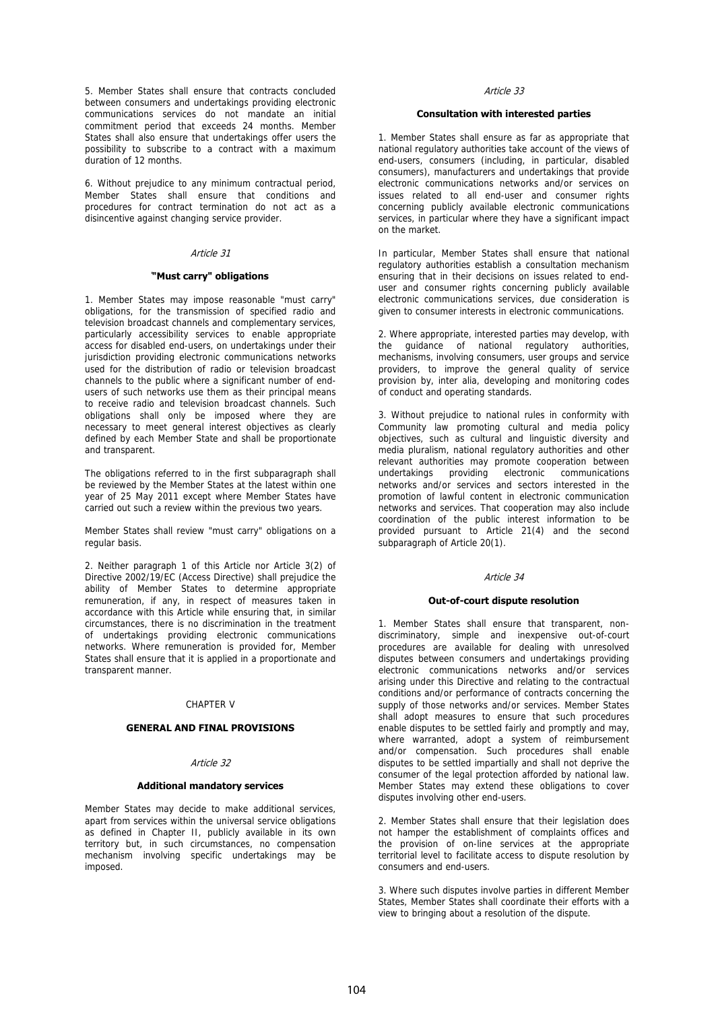5. Member States shall ensure that contracts concluded between consumers and undertakings providing electronic communications services do not mandate an initial commitment period that exceeds 24 months. Member States shall also ensure that undertakings offer users the possibility to subscribe to a contract with a maximum duration of 12 months.

6. Without prejudice to any minimum contractual period, Member States shall ensure that conditions and procedures for contract termination do not act as a disincentive against changing service provider.

# Article 31

# ̒**"Must carry" obligations**

1. Member States may impose reasonable "must carry" obligations, for the transmission of specified radio and television broadcast channels and complementary services, particularly accessibility services to enable appropriate access for disabled end-users, on undertakings under their jurisdiction providing electronic communications networks used for the distribution of radio or television broadcast channels to the public where a significant number of endusers of such networks use them as their principal means to receive radio and television broadcast channels. Such obligations shall only be imposed where they are necessary to meet general interest objectives as clearly defined by each Member State and shall be proportionate and transparent.

The obligations referred to in the first subparagraph shall be reviewed by the Member States at the latest within one year of 25 May 2011 except where Member States have carried out such a review within the previous two years.

Member States shall review "must carry" obligations on a regular basis.

2. Neither paragraph 1 of this Article nor Article 3(2) of Directive 2002/19/EC (Access Directive) shall prejudice the ability of Member States to determine appropriate remuneration, if any, in respect of measures taken in accordance with this Article while ensuring that, in similar circumstances, there is no discrimination in the treatment of undertakings providing electronic communications networks. Where remuneration is provided for, Member States shall ensure that it is applied in a proportionate and transparent manner.

### CHAPTER V

### **GENERAL AND FINAL PROVISIONS**

# Article 32

# **Additional mandatory services**

Member States may decide to make additional services, apart from services within the universal service obligations as defined in Chapter II, publicly available in its own territory but, in such circumstances, no compensation mechanism involving specific undertakings may be imposed.

# Article 33

# **Consultation with interested parties**

1. Member States shall ensure as far as appropriate that national regulatory authorities take account of the views of end-users, consumers (including, in particular, disabled consumers), manufacturers and undertakings that provide electronic communications networks and/or services on issues related to all end-user and consumer rights concerning publicly available electronic communications services, in particular where they have a significant impact on the market.

In particular, Member States shall ensure that national regulatory authorities establish a consultation mechanism ensuring that in their decisions on issues related to enduser and consumer rights concerning publicly available electronic communications services, due consideration is given to consumer interests in electronic communications.

2. Where appropriate, interested parties may develop, with the guidance of national regulatory authorities, mechanisms, involving consumers, user groups and service providers, to improve the general quality of service provision by, inter alia, developing and monitoring codes of conduct and operating standards.

3. Without prejudice to national rules in conformity with Community law promoting cultural and media policy objectives, such as cultural and linguistic diversity and media pluralism, national regulatory authorities and other relevant authorities may promote cooperation between undertakings providing electronic communications networks and/or services and sectors interested in the promotion of lawful content in electronic communication networks and services. That cooperation may also include coordination of the public interest information to be provided pursuant to Article 21(4) and the second subparagraph of Article 20(1).

# Article 34

### **Out-of-court dispute resolution**

1. Member States shall ensure that transparent, nondiscriminatory, simple and inexpensive out-of-court procedures are available for dealing with unresolved disputes between consumers and undertakings providing electronic communications networks and/or services arising under this Directive and relating to the contractual conditions and/or performance of contracts concerning the supply of those networks and/or services. Member States shall adopt measures to ensure that such procedures enable disputes to be settled fairly and promptly and may, where warranted, adopt a system of reimbursement and/or compensation. Such procedures shall enable disputes to be settled impartially and shall not deprive the consumer of the legal protection afforded by national law. Member States may extend these obligations to cover disputes involving other end-users.

2. Member States shall ensure that their legislation does not hamper the establishment of complaints offices and the provision of on-line services at the appropriate territorial level to facilitate access to dispute resolution by consumers and end-users.

3. Where such disputes involve parties in different Member States, Member States shall coordinate their efforts with a view to bringing about a resolution of the dispute.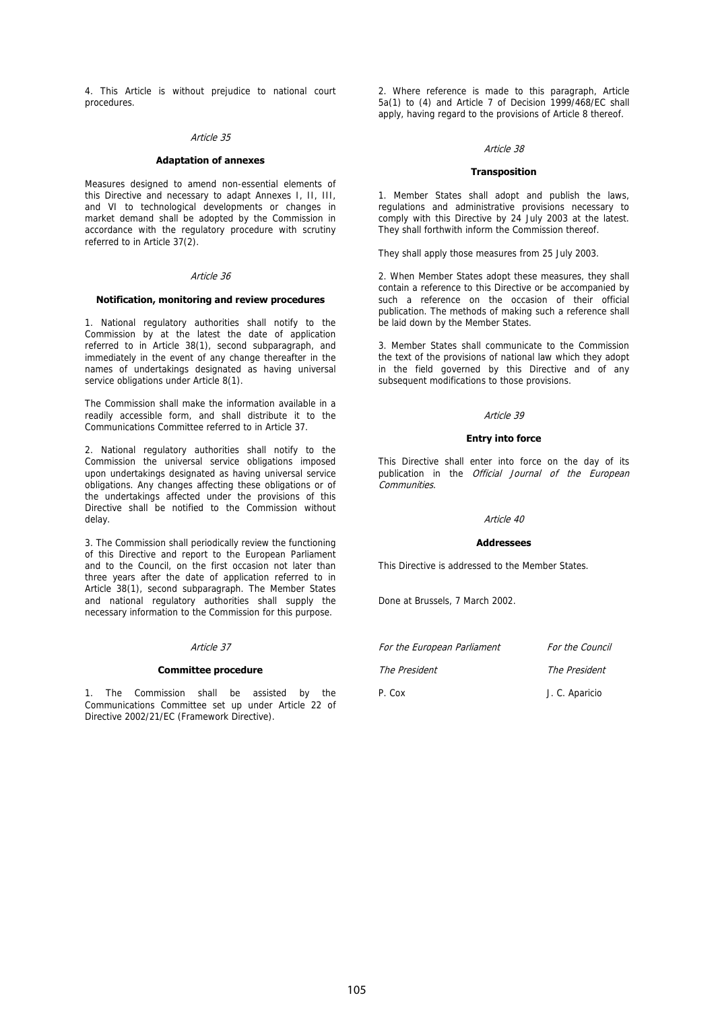4. This Article is without prejudice to national court procedures.

#### Article 35

### **Adaptation of annexes**

Measures designed to amend non-essential elements of this Directive and necessary to adapt Annexes I, II, III, and VI to technological developments or changes in market demand shall be adopted by the Commission in accordance with the regulatory procedure with scrutiny referred to in Article 37(2).

### Article 36

## **Notification, monitoring and review procedures**

1. National regulatory authorities shall notify to the Commission by at the latest the date of application referred to in Article 38(1), second subparagraph, and immediately in the event of any change thereafter in the names of undertakings designated as having universal service obligations under Article 8(1).

The Commission shall make the information available in a readily accessible form, and shall distribute it to the Communications Committee referred to in Article 37.

2. National regulatory authorities shall notify to the Commission the universal service obligations imposed upon undertakings designated as having universal service obligations. Any changes affecting these obligations or of the undertakings affected under the provisions of this Directive shall be notified to the Commission without delay.

3. The Commission shall periodically review the functioning of this Directive and report to the European Parliament and to the Council, on the first occasion not later than three years after the date of application referred to in Article 38(1), second subparagraph. The Member States and national regulatory authorities shall supply the necessary information to the Commission for this purpose.

## Article 37

## **Committee procedure**

1. The Commission shall be assisted by the Communications Committee set up under Article 22 of Directive 2002/21/EC (Framework Directive).

2. Where reference is made to this paragraph, Article 5a(1) to (4) and Article 7 of Decision 1999/468/EC shall apply, having regard to the provisions of Article 8 thereof.

## Article 38

## **Transposition**

1. Member States shall adopt and publish the laws, regulations and administrative provisions necessary to comply with this Directive by 24 July 2003 at the latest. They shall forthwith inform the Commission thereof.

They shall apply those measures from 25 July 2003.

2. When Member States adopt these measures, they shall contain a reference to this Directive or be accompanied by such a reference on the occasion of their official publication. The methods of making such a reference shall be laid down by the Member States.

3. Member States shall communicate to the Commission the text of the provisions of national law which they adopt in the field governed by this Directive and of any subsequent modifications to those provisions.

# Article 39

### **Entry into force**

This Directive shall enter into force on the day of its publication in the Official Journal of the European **Communities** 

# Article 40

#### **Addressees**

This Directive is addressed to the Member States.

Done at Brussels, 7 March 2002.

| For the European Parliament | For the Council |
|-----------------------------|-----------------|
| The President               | The President   |
| P. Cox                      | J. C. Aparicio  |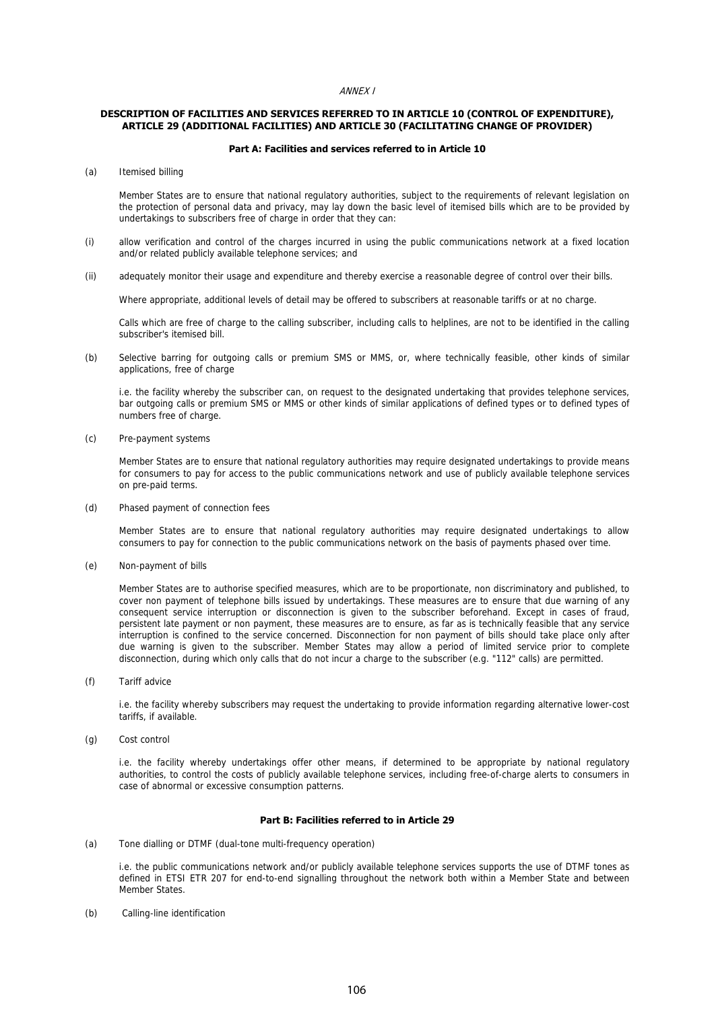# ANNEX I

# **DESCRIPTION OF FACILITIES AND SERVICES REFERRED TO IN ARTICLE 10 (CONTROL OF EXPENDITURE), ARTICLE 29 (ADDITIONAL FACILITIES) AND ARTICLE 30 (FACILITATING CHANGE OF PROVIDER)**

# **Part A: Facilities and services referred to in Article 10**

(a) Itemised billing

Member States are to ensure that national regulatory authorities, subject to the requirements of relevant legislation on the protection of personal data and privacy, may lay down the basic level of itemised bills which are to be provided by undertakings to subscribers free of charge in order that they can:

- (i) allow verification and control of the charges incurred in using the public communications network at a fixed location and/or related publicly available telephone services; and
- (ii) adequately monitor their usage and expenditure and thereby exercise a reasonable degree of control over their bills.

Where appropriate, additional levels of detail may be offered to subscribers at reasonable tariffs or at no charge.

Calls which are free of charge to the calling subscriber, including calls to helplines, are not to be identified in the calling subscriber's itemised bill.

(b) Selective barring for outgoing calls or premium SMS or MMS, or, where technically feasible, other kinds of similar applications, free of charge

i.e. the facility whereby the subscriber can, on request to the designated undertaking that provides telephone services, bar outgoing calls or premium SMS or MMS or other kinds of similar applications of defined types or to defined types of numbers free of charge.

(c) Pre-payment systems

Member States are to ensure that national regulatory authorities may require designated undertakings to provide means for consumers to pay for access to the public communications network and use of publicly available telephone services on pre-paid terms.

(d) Phased payment of connection fees

Member States are to ensure that national regulatory authorities may require designated undertakings to allow consumers to pay for connection to the public communications network on the basis of payments phased over time.

(e) Non-payment of bills

Member States are to authorise specified measures, which are to be proportionate, non discriminatory and published, to cover non payment of telephone bills issued by undertakings. These measures are to ensure that due warning of any consequent service interruption or disconnection is given to the subscriber beforehand. Except in cases of fraud, persistent late payment or non payment, these measures are to ensure, as far as is technically feasible that any service interruption is confined to the service concerned. Disconnection for non payment of bills should take place only after due warning is given to the subscriber. Member States may allow a period of limited service prior to complete disconnection, during which only calls that do not incur a charge to the subscriber (e.g. "112" calls) are permitted.

(f) Tariff advice

i.e. the facility whereby subscribers may request the undertaking to provide information regarding alternative lower-cost tariffs, if available.

(g) Cost control

i.e. the facility whereby undertakings offer other means, if determined to be appropriate by national regulatory authorities, to control the costs of publicly available telephone services, including free-of-charge alerts to consumers in case of abnormal or excessive consumption patterns.

### **Part B: Facilities referred to in Article 29**

(a) Tone dialling or DTMF (dual-tone multi-frequency operation)

i.e. the public communications network and/or publicly available telephone services supports the use of DTMF tones as defined in ETSI ETR 207 for end-to-end signalling throughout the network both within a Member State and between Member States.

(b) Calling-line identification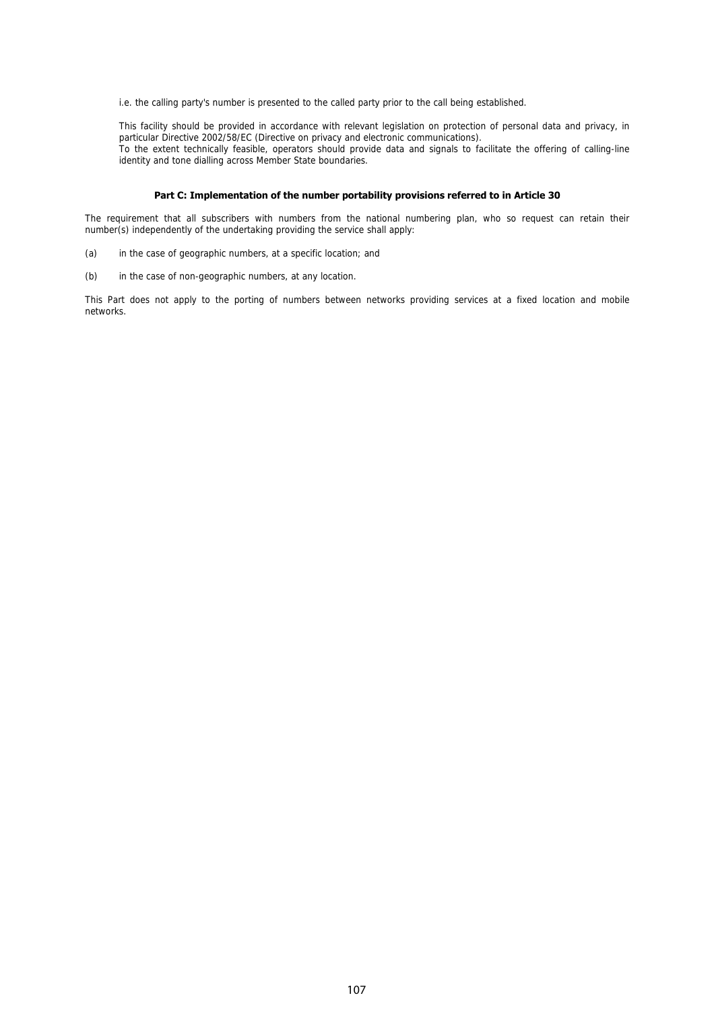i.e. the calling party's number is presented to the called party prior to the call being established.

This facility should be provided in accordance with relevant legislation on protection of personal data and privacy, in particular Directive 2002/58/EC (Directive on privacy and electronic communications). To the extent technically feasible, operators should provide data and signals to facilitate the offering of calling-line identity and tone dialling across Member State boundaries.

## **Part C: Implementation of the number portability provisions referred to in Article 30**

The requirement that all subscribers with numbers from the national numbering plan, who so request can retain their number(s) independently of the undertaking providing the service shall apply:

- (a) in the case of geographic numbers, at a specific location; and
- (b) in the case of non-geographic numbers, at any location.

This Part does not apply to the porting of numbers between networks providing services at a fixed location and mobile networks.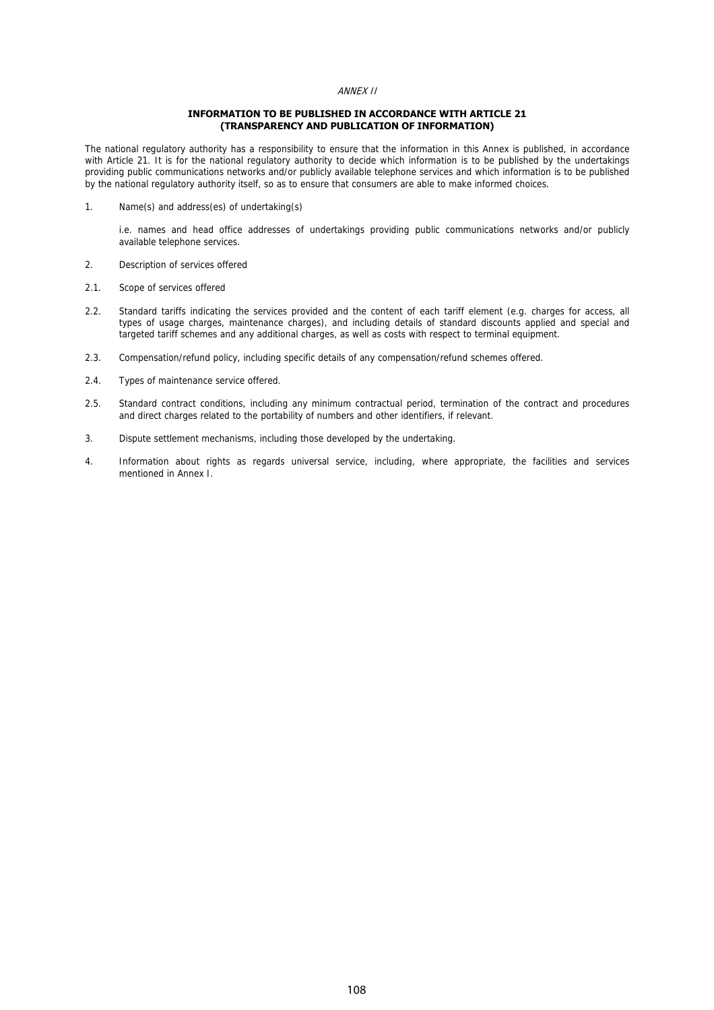# ANNEX II

# **INFORMATION TO BE PUBLISHED IN ACCORDANCE WITH ARTICLE 21 (TRANSPARENCY AND PUBLICATION OF INFORMATION)**

The national regulatory authority has a responsibility to ensure that the information in this Annex is published, in accordance with Article 21. It is for the national regulatory authority to decide which information is to be published by the undertakings providing public communications networks and/or publicly available telephone services and which information is to be published by the national regulatory authority itself, so as to ensure that consumers are able to make informed choices.

1. Name(s) and address(es) of undertaking(s)

i.e. names and head office addresses of undertakings providing public communications networks and/or publicly available telephone services.

- 2. Description of services offered
- 2.1. Scope of services offered
- 2.2. Standard tariffs indicating the services provided and the content of each tariff element (e.g. charges for access, all types of usage charges, maintenance charges), and including details of standard discounts applied and special and targeted tariff schemes and any additional charges, as well as costs with respect to terminal equipment.
- 2.3. Compensation/refund policy, including specific details of any compensation/refund schemes offered.
- 2.4. Types of maintenance service offered.
- 2.5. Standard contract conditions, including any minimum contractual period, termination of the contract and procedures and direct charges related to the portability of numbers and other identifiers, if relevant.
- 3. Dispute settlement mechanisms, including those developed by the undertaking.
- 4. Information about rights as regards universal service, including, where appropriate, the facilities and services mentioned in Annex I.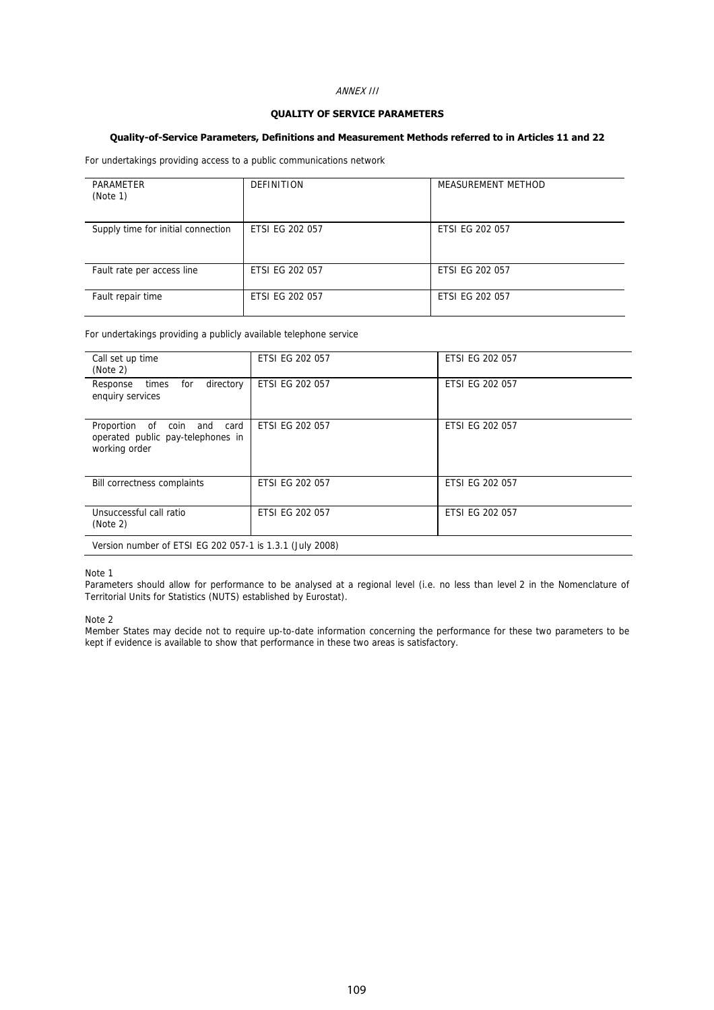# ANNEX III

# **QUALITY OF SERVICE PARAMETERS**

# **Quality-of-Service Parameters, Definitions and Measurement Methods referred to in Articles 11 and 22**

For undertakings providing access to a public communications network

| PARAMETER<br>(Note 1)              | <b>DEFINITION</b> | MEASUREMENT METHOD |
|------------------------------------|-------------------|--------------------|
| Supply time for initial connection | FTSI FG 202 057   | FTSI FG 202 057    |
| Fault rate per access line         | FTSI FG 202 057   | FTSI FG 202 057    |
| Fault repair time                  | FTSI FG 202 057   | FTSI FG 202 057    |

For undertakings providing a publicly available telephone service

| Call set up time<br>(Note 2)                                                         | ETSI EG 202 057 | ETSI EG 202 057 |  |
|--------------------------------------------------------------------------------------|-----------------|-----------------|--|
| directory<br>times<br>for<br>Response<br>enquiry services                            | ETSI EG 202 057 | ETSI EG 202 057 |  |
| Proportion of coin and<br>card<br>operated public pay-telephones in<br>working order | ETSI EG 202 057 | ETSI EG 202 057 |  |
| Bill correctness complaints                                                          | ETSI EG 202 057 | ETSI EG 202 057 |  |
| Unsuccessful call ratio<br>(Note 2)                                                  | ETSI EG 202 057 | ETSI EG 202 057 |  |
| Version number of ETSI EG 202 057-1 is 1.3.1 (July 2008)                             |                 |                 |  |

Note 1

Parameters should allow for performance to be analysed at a regional level (i.e. no less than level 2 in the Nomenclature of Territorial Units for Statistics (NUTS) established by Eurostat).

# Note 2

Member States may decide not to require up-to-date information concerning the performance for these two parameters to be kept if evidence is available to show that performance in these two areas is satisfactory.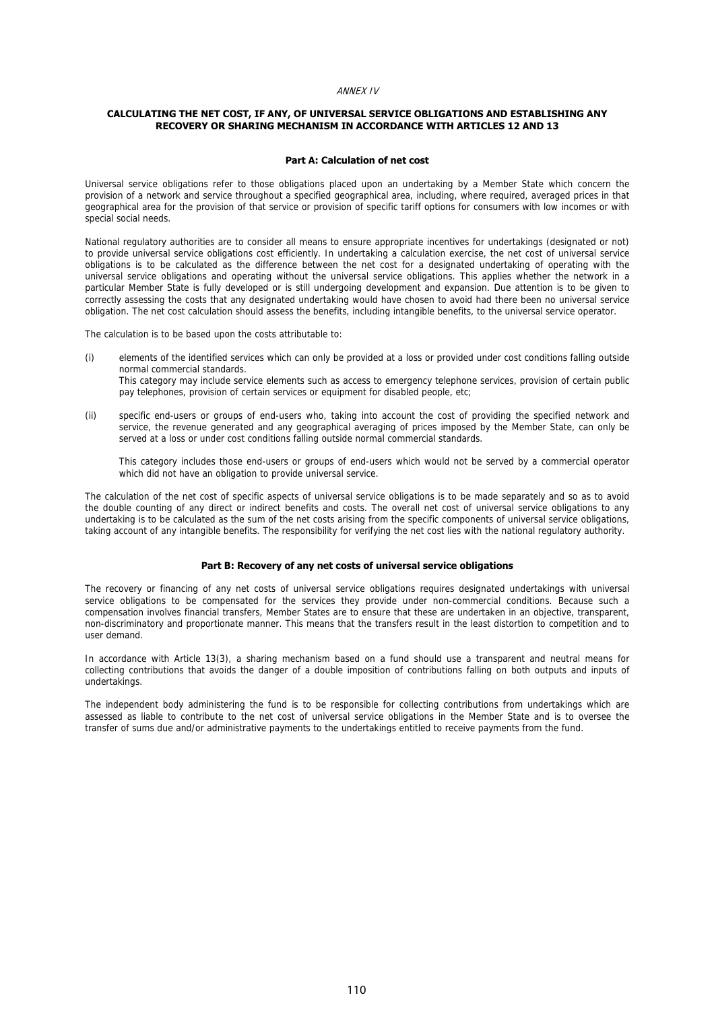# ANNEX IV

# **CALCULATING THE NET COST, IF ANY, OF UNIVERSAL SERVICE OBLIGATIONS AND ESTABLISHING ANY RECOVERY OR SHARING MECHANISM IN ACCORDANCE WITH ARTICLES 12 AND 13**

### **Part A: Calculation of net cost**

Universal service obligations refer to those obligations placed upon an undertaking by a Member State which concern the provision of a network and service throughout a specified geographical area, including, where required, averaged prices in that geographical area for the provision of that service or provision of specific tariff options for consumers with low incomes or with special social needs.

National regulatory authorities are to consider all means to ensure appropriate incentives for undertakings (designated or not) to provide universal service obligations cost efficiently. In undertaking a calculation exercise, the net cost of universal service obligations is to be calculated as the difference between the net cost for a designated undertaking of operating with the universal service obligations and operating without the universal service obligations. This applies whether the network in a particular Member State is fully developed or is still undergoing development and expansion. Due attention is to be given to correctly assessing the costs that any designated undertaking would have chosen to avoid had there been no universal service obligation. The net cost calculation should assess the benefits, including intangible benefits, to the universal service operator.

The calculation is to be based upon the costs attributable to:

- (i) elements of the identified services which can only be provided at a loss or provided under cost conditions falling outside normal commercial standards. This category may include service elements such as access to emergency telephone services, provision of certain public pay telephones, provision of certain services or equipment for disabled people, etc;
- (ii) specific end-users or groups of end-users who, taking into account the cost of providing the specified network and service, the revenue generated and any geographical averaging of prices imposed by the Member State, can only be served at a loss or under cost conditions falling outside normal commercial standards.

This category includes those end-users or groups of end-users which would not be served by a commercial operator which did not have an obligation to provide universal service.

The calculation of the net cost of specific aspects of universal service obligations is to be made separately and so as to avoid the double counting of any direct or indirect benefits and costs. The overall net cost of universal service obligations to any undertaking is to be calculated as the sum of the net costs arising from the specific components of universal service obligations, taking account of any intangible benefits. The responsibility for verifying the net cost lies with the national regulatory authority.

# **Part B: Recovery of any net costs of universal service obligations**

The recovery or financing of any net costs of universal service obligations requires designated undertakings with universal service obligations to be compensated for the services they provide under non-commercial conditions. Because such a compensation involves financial transfers, Member States are to ensure that these are undertaken in an objective, transparent, non-discriminatory and proportionate manner. This means that the transfers result in the least distortion to competition and to user demand.

In accordance with Article 13(3), a sharing mechanism based on a fund should use a transparent and neutral means for collecting contributions that avoids the danger of a double imposition of contributions falling on both outputs and inputs of undertakings.

The independent body administering the fund is to be responsible for collecting contributions from undertakings which are assessed as liable to contribute to the net cost of universal service obligations in the Member State and is to oversee the transfer of sums due and/or administrative payments to the undertakings entitled to receive payments from the fund.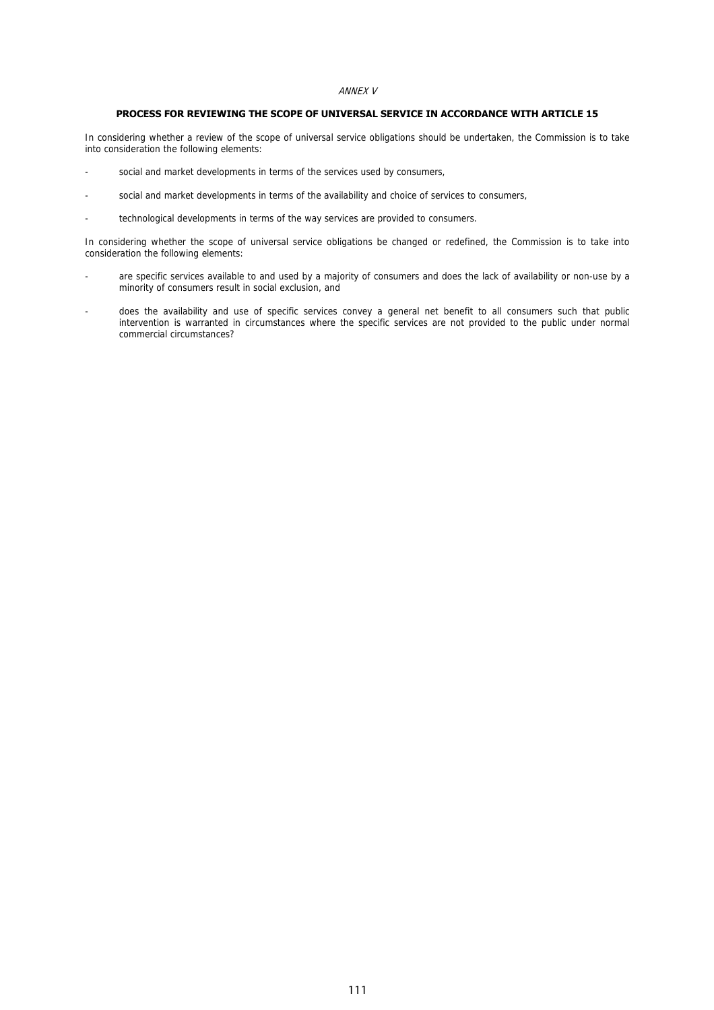## ANNEX V

# **PROCESS FOR REVIEWING THE SCOPE OF UNIVERSAL SERVICE IN ACCORDANCE WITH ARTICLE 15**

In considering whether a review of the scope of universal service obligations should be undertaken, the Commission is to take into consideration the following elements:

- social and market developments in terms of the services used by consumers,
- social and market developments in terms of the availability and choice of services to consumers,
- technological developments in terms of the way services are provided to consumers.

In considering whether the scope of universal service obligations be changed or redefined, the Commission is to take into consideration the following elements:

- are specific services available to and used by a majority of consumers and does the lack of availability or non-use by a minority of consumers result in social exclusion, and
- does the availability and use of specific services convey a general net benefit to all consumers such that public intervention is warranted in circumstances where the specific services are not provided to the public under normal commercial circumstances?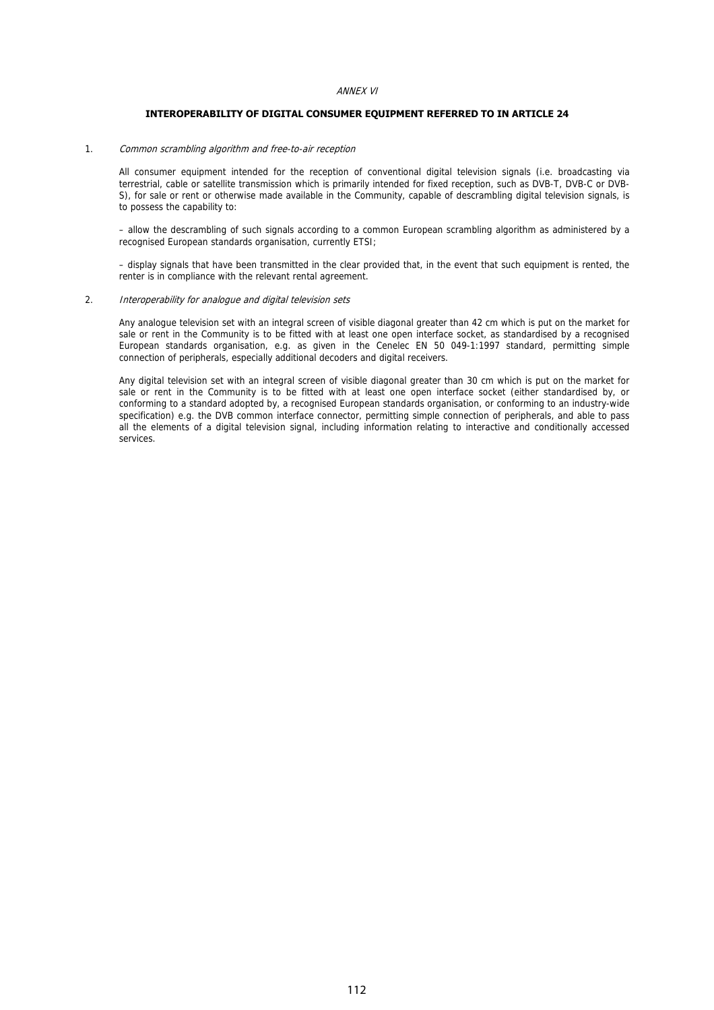# ANNEX VI

# **INTEROPERABILITY OF DIGITAL CONSUMER EQUIPMENT REFERRED TO IN ARTICLE 24**

# 1. Common scrambling algorithm and free-to-air reception

All consumer equipment intended for the reception of conventional digital television signals (i.e. broadcasting via terrestrial, cable or satellite transmission which is primarily intended for fixed reception, such as DVB-T, DVB-C or DVB-S), for sale or rent or otherwise made available in the Community, capable of descrambling digital television signals, is to possess the capability to:

– allow the descrambling of such signals according to a common European scrambling algorithm as administered by a recognised European standards organisation, currently ETSI;

– display signals that have been transmitted in the clear provided that, in the event that such equipment is rented, the renter is in compliance with the relevant rental agreement.

# 2. Interoperability for analogue and digital television sets

Any analogue television set with an integral screen of visible diagonal greater than 42 cm which is put on the market for sale or rent in the Community is to be fitted with at least one open interface socket, as standardised by a recognised European standards organisation, e.g. as given in the Cenelec EN 50 049-1:1997 standard, permitting simple connection of peripherals, especially additional decoders and digital receivers.

Any digital television set with an integral screen of visible diagonal greater than 30 cm which is put on the market for sale or rent in the Community is to be fitted with at least one open interface socket (either standardised by, or conforming to a standard adopted by, a recognised European standards organisation, or conforming to an industry-wide specification) e.g. the DVB common interface connector, permitting simple connection of peripherals, and able to pass all the elements of a digital television signal, including information relating to interactive and conditionally accessed services.